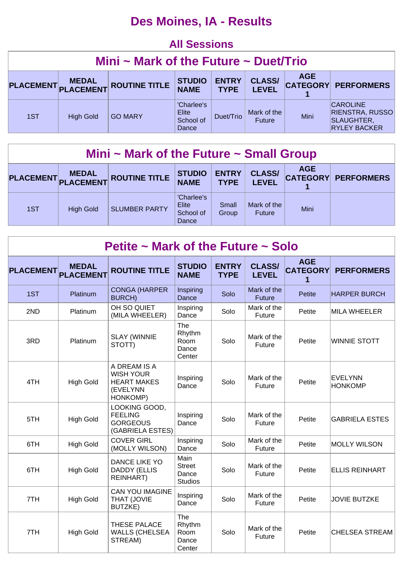## **Des Moines, IA - Results**

#### **All Sessions**

| Mini $\sim$ Mark of the Future $\sim$ Duet/Trio |                  |                      |                                           |                             |                               |            |                                                                                |  |  |
|-------------------------------------------------|------------------|----------------------|-------------------------------------------|-----------------------------|-------------------------------|------------|--------------------------------------------------------------------------------|--|--|
| PLACEMENT PLACEMENT                             | <b>MEDAL</b>     | <b>ROUTINE TITLE</b> | <b>STUDIO</b><br><b>NAME</b>              | <b>ENTRY</b><br><b>TYPE</b> | <b>CLASS/</b><br><b>LEVEL</b> | <b>AGE</b> | <b>CATEGORY PERFORMERS</b>                                                     |  |  |
| 1ST                                             | <b>High Gold</b> | <b>GO MARY</b>       | 'Charlee's<br>Elite<br>School of<br>Dance | Duet/Trio                   | Mark of the<br><b>Future</b>  | Mini       | <b>CAROLINE</b><br><b>RIENSTRA, RUSSO</b><br>SLAUGHTER,<br><b>RYLEY BACKER</b> |  |  |

| Mini $\sim$ Mark of the Future $\sim$ Small Group |                  |                      |                                           |                             |                               |                               |                   |  |  |  |
|---------------------------------------------------|------------------|----------------------|-------------------------------------------|-----------------------------|-------------------------------|-------------------------------|-------------------|--|--|--|
|                                                   | PLACEMENT MEDAL  | <b>ROUTINE TITLE</b> | <b>STUDIO</b><br><b>NAME</b>              | <b>ENTRY</b><br><b>TYPE</b> | <b>CLASS/</b><br><b>LEVEL</b> | <b>AGE</b><br><b>CATEGORY</b> | <b>PERFORMERS</b> |  |  |  |
| 1ST                                               | <b>High Gold</b> | <b>SLUMBER PARTY</b> | 'Charlee's<br>Elite<br>School of<br>Dance | Small<br>Group              | Mark of the<br>Future         | <b>Mini</b>                   |                   |  |  |  |

| Petite $\sim$ Mark of the Future $\sim$ Solo |                                  |                                                                                |                                                  |                             |                               |                                    |                           |  |  |  |  |
|----------------------------------------------|----------------------------------|--------------------------------------------------------------------------------|--------------------------------------------------|-----------------------------|-------------------------------|------------------------------------|---------------------------|--|--|--|--|
| <b>PLACEMENT</b>                             | <b>MEDAL</b><br><b>PLACEMENT</b> | <b>ROUTINE TITLE</b>                                                           | <b>STUDIO</b><br><b>NAME</b>                     | <b>ENTRY</b><br><b>TYPE</b> | <b>CLASS/</b><br><b>LEVEL</b> | <b>AGE</b><br><b>CATEGORY</b><br>1 | <b>PERFORMERS</b>         |  |  |  |  |
| 1ST                                          | Platinum                         | <b>CONGA (HARPER</b><br><b>BURCH)</b>                                          | Inspiring<br>Dance                               | Solo                        | Mark of the<br><b>Future</b>  | <b>Petite</b>                      | <b>HARPER BURCH</b>       |  |  |  |  |
| 2ND                                          | Platinum                         | OH SO QUIET<br>(MILA WHEELER)                                                  | Inspiring<br>Dance                               | Solo                        | Mark of the<br>Future         | Petite                             | <b>MILA WHEELER</b>       |  |  |  |  |
| 3RD                                          | Platinum                         | <b>SLAY (WINNIE</b><br>STOTT)                                                  | The<br>Rhythm<br>Room<br>Dance<br>Center         | Solo                        | Mark of the<br>Future         | Petite                             | <b>WINNIE STOTT</b>       |  |  |  |  |
| 4TH                                          | <b>High Gold</b>                 | A DREAM IS A<br><b>WISH YOUR</b><br><b>HEART MAKES</b><br>(EVELYNN<br>HONKOMP) | Inspiring<br>Dance                               | Solo                        | Mark of the<br>Future         | Petite                             | EVELYNN<br><b>HONKOMP</b> |  |  |  |  |
| 5TH                                          | <b>High Gold</b>                 | LOOKING GOOD,<br><b>FEELING</b><br><b>GORGEOUS</b><br>(GABRIELA ESTES)         | Inspiring<br>Dance                               | Solo                        | Mark of the<br>Future         | Petite                             | <b>GABRIELA ESTES</b>     |  |  |  |  |
| 6TH                                          | <b>High Gold</b>                 | <b>COVER GIRL</b><br>(MOLLY WILSON)                                            | Inspiring<br>Dance                               | Solo                        | Mark of the<br>Future         | Petite                             | <b>MOLLY WILSON</b>       |  |  |  |  |
| 6TH                                          | <b>High Gold</b>                 | DANCE LIKE YO<br><b>DADDY (ELLIS</b><br><b>REINHART)</b>                       | Main<br><b>Street</b><br>Dance<br><b>Studios</b> | Solo                        | Mark of the<br>Future         | Petite                             | <b>ELLIS REINHART</b>     |  |  |  |  |
| 7TH                                          | <b>High Gold</b>                 | <b>CAN YOU IMAGINE</b><br>THAT (JOVIE<br><b>BUTZKE)</b>                        | Inspiring<br>Dance                               | Solo                        | Mark of the<br>Future         | Petite                             | <b>JOVIE BUTZKE</b>       |  |  |  |  |
| 7TH                                          | <b>High Gold</b>                 | THESE PALACE<br><b>WALLS (CHELSEA</b><br>STREAM)                               | The<br>Rhythm<br>Room<br>Dance<br>Center         | Solo                        | Mark of the<br>Future         | Petite                             | CHELSEA STREAM            |  |  |  |  |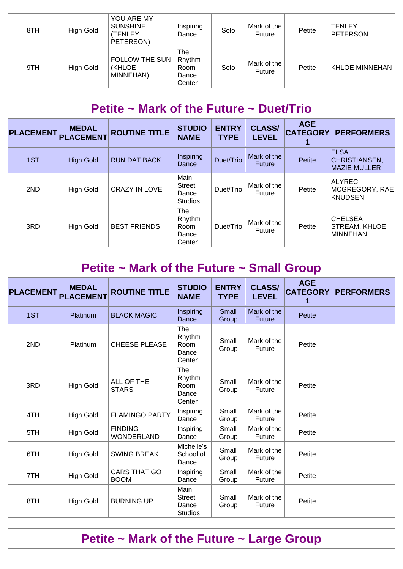| 8TH | High Gold | YOU ARE MY<br><b>SUNSHINE</b><br>(TENLEY<br>PETERSON) | Inspiring<br>Dance                       | Solo | Mark of the<br>Future | Petite | TENLEY<br><b>PETERSON</b> |
|-----|-----------|-------------------------------------------------------|------------------------------------------|------|-----------------------|--------|---------------------------|
| 9TH | High Gold | <b>FOLLOW THE SUN</b><br><b>(KHLOE</b><br>MINNEHAN)   | The<br>Rhythm<br>Room<br>Dance<br>Center | Solo | Mark of the<br>Future | Petite | <b>KHLOE MINNEHAN</b>     |

| Petite $\sim$ Mark of the Future $\sim$ Duet/Trio |                                  |                      |                                                  |                             |                               |                               |                                                     |  |  |  |
|---------------------------------------------------|----------------------------------|----------------------|--------------------------------------------------|-----------------------------|-------------------------------|-------------------------------|-----------------------------------------------------|--|--|--|
| <b>PLACEMENT</b>                                  | <b>MEDAL</b><br><b>PLACEMENT</b> | <b>ROUTINE TITLE</b> | <b>STUDIO</b><br><b>NAME</b>                     | <b>ENTRY</b><br><b>TYPE</b> | <b>CLASS/</b><br><b>LEVEL</b> | <b>AGE</b><br><b>CATEGORY</b> | <b>PERFORMERS</b>                                   |  |  |  |
| 1ST                                               | <b>High Gold</b>                 | <b>RUN DAT BACK</b>  | Inspiring<br>Dance                               | Duet/Trio                   | Mark of the<br><b>Future</b>  | Petite                        | <b>ELSA</b><br>CHRISTIANSEN,<br><b>MAZIE MULLER</b> |  |  |  |
| 2ND                                               | <b>High Gold</b>                 | <b>CRAZY IN LOVE</b> | Main<br><b>Street</b><br>Dance<br><b>Studios</b> | Duet/Trio                   | Mark of the<br>Future         | Petite                        | <b>ALYREC</b><br>MCGREGORY, RAE<br>KNUDSEN          |  |  |  |
| 3RD                                               | <b>High Gold</b>                 | <b>BEST FRIENDS</b>  | The<br>Rhythm<br>Room<br>Dance<br>Center         | Duet/Trio                   | Mark of the<br>Future         | Petite                        | <b>CHELSEA</b><br>STREAM, KHLOE<br>MINNEHAN         |  |  |  |

| Petite $\sim$ Mark of the Future $\sim$ Small Group |                                  |                                     |                                                  |                             |                               |                               |                   |  |  |  |
|-----------------------------------------------------|----------------------------------|-------------------------------------|--------------------------------------------------|-----------------------------|-------------------------------|-------------------------------|-------------------|--|--|--|
| <b>PLACEMENT</b>                                    | <b>MEDAL</b><br><b>PLACEMENT</b> | <b>ROUTINE TITLE</b>                | <b>STUDIO</b><br><b>NAME</b>                     | <b>ENTRY</b><br><b>TYPE</b> | <b>CLASS/</b><br><b>LEVEL</b> | <b>AGE</b><br><b>CATEGORY</b> | <b>PERFORMERS</b> |  |  |  |
| 1ST                                                 | Platinum                         | <b>BLACK MAGIC</b>                  | Inspiring<br>Dance                               | Small<br>Group              | Mark of the<br><b>Future</b>  | Petite                        |                   |  |  |  |
| 2ND                                                 | Platinum                         | <b>CHEESE PLEASE</b>                | The<br>Rhythm<br>Room<br>Dance<br>Center         | Small<br>Group              | Mark of the<br>Future         | Petite                        |                   |  |  |  |
| 3RD                                                 | <b>High Gold</b>                 | ALL OF THE<br><b>STARS</b>          | The<br>Rhythm<br>Room<br>Dance<br>Center         | Small<br>Group              | Mark of the<br>Future         | Petite                        |                   |  |  |  |
| 4TH                                                 | <b>High Gold</b>                 | <b>FLAMINGO PARTY</b>               | Inspiring<br>Dance                               | Small<br>Group              | Mark of the<br>Future         | Petite                        |                   |  |  |  |
| 5TH                                                 | <b>High Gold</b>                 | <b>FINDING</b><br><b>WONDERLAND</b> | Inspiring<br>Dance                               | Small<br>Group              | Mark of the<br>Future         | Petite                        |                   |  |  |  |
| 6TH                                                 | <b>High Gold</b>                 | <b>SWING BREAK</b>                  | Michelle's<br>School of<br>Dance                 | Small<br>Group              | Mark of the<br>Future         | Petite                        |                   |  |  |  |
| 7TH                                                 | <b>High Gold</b>                 | <b>CARS THAT GO</b><br><b>BOOM</b>  | Inspiring<br>Dance                               | Small<br>Group              | Mark of the<br>Future         | Petite                        |                   |  |  |  |
| 8TH                                                 | <b>High Gold</b>                 | <b>BURNING UP</b>                   | Main<br><b>Street</b><br>Dance<br><b>Studios</b> | Small<br>Group              | Mark of the<br>Future         | Petite                        |                   |  |  |  |

# **Petite ~ Mark of the Future ~ Large Group**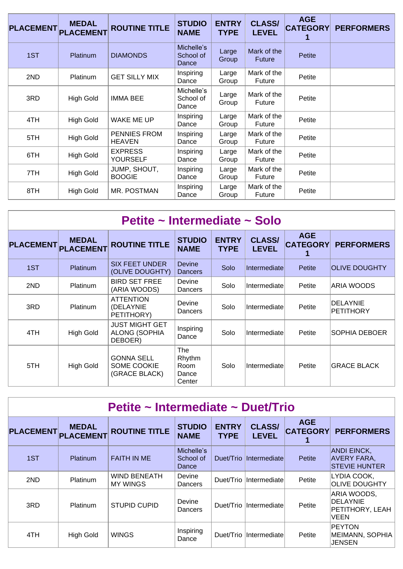| <b>PLACEMENT</b> | <b>MEDAL</b><br><b>PLACEMENT</b> | <b>ROUTINE TITLE</b>              | <b>STUDIO</b><br><b>NAME</b>     | <b>ENTRY</b><br><b>TYPE</b> | <b>CLASS/</b><br><b>LEVEL</b> | <b>AGE</b><br><b>CATEGORY</b> | <b>PERFORMERS</b> |
|------------------|----------------------------------|-----------------------------------|----------------------------------|-----------------------------|-------------------------------|-------------------------------|-------------------|
| 1ST              | <b>Platinum</b>                  | <b>DIAMONDS</b>                   | Michelle's<br>School of<br>Dance | Large<br>Group              | Mark of the<br><b>Future</b>  | Petite                        |                   |
| 2ND              | <b>Platinum</b>                  | <b>GET SILLY MIX</b>              | Inspiring<br>Dance               | Large<br>Group              | Mark of the<br>Future         | Petite                        |                   |
| 3RD              | <b>High Gold</b>                 | <b>IMMA BEE</b>                   | Michelle's<br>School of<br>Dance | Large<br>Group              | Mark of the<br>Future         | Petite                        |                   |
| 4TH              | <b>High Gold</b>                 | WAKE ME UP                        | Inspiring<br>Dance               | Large<br>Group              | Mark of the<br>Future         | Petite                        |                   |
| 5TH              | <b>High Gold</b>                 | PENNIES FROM<br><b>HEAVEN</b>     | Inspiring<br>Dance               | Large<br>Group              | Mark of the<br>Future         | Petite                        |                   |
| 6TH              | <b>High Gold</b>                 | <b>EXPRESS</b><br><b>YOURSELF</b> | Inspiring<br>Dance               | Large<br>Group              | Mark of the<br>Future         | Petite                        |                   |
| 7TH              | <b>High Gold</b>                 | JUMP, SHOUT,<br><b>BOOGIE</b>     | Inspiring<br>Dance               | Large<br>Group              | Mark of the<br>Future         | Petite                        |                   |
| 8TH              | High Gold                        | MR. POSTMAN                       | Inspiring<br>Dance               | Large<br>Group              | Mark of the<br>Future         | Petite                        |                   |

| Petite ~ Intermediate ~ Solo |                                  |                                                          |                                          |                             |                               |                               |                       |  |  |  |  |
|------------------------------|----------------------------------|----------------------------------------------------------|------------------------------------------|-----------------------------|-------------------------------|-------------------------------|-----------------------|--|--|--|--|
| <b>PLACEMENT</b>             | <b>MEDAL</b><br><b>PLACEMENT</b> | <b>ROUTINE TITLE</b>                                     | <b>STUDIO</b><br><b>NAME</b>             | <b>ENTRY</b><br><b>TYPE</b> | <b>CLASS/</b><br><b>LEVEL</b> | <b>AGE</b><br><b>CATEGORY</b> | <b>PERFORMERS</b>     |  |  |  |  |
| 1ST                          | Platinum                         | <b>SIX FEET UNDER</b><br>(OLIVE DOUGHTY)                 | Devine<br><b>Dancers</b>                 | Solo                        | Intermediate                  | <b>Petite</b>                 | <b>OLIVE DOUGHTY</b>  |  |  |  |  |
| 2ND                          | Platinum                         | <b>BIRD SET FREE</b><br>(ARIA WOODS)                     | Devine<br>Dancers                        | Solo                        | Intermediate                  | Petite                        | ARIA WOODS            |  |  |  |  |
| 3RD                          | <b>Platinum</b>                  | <b>ATTENTION</b><br>(DELAYNIE<br>PETITHORY)              | Devine<br>Dancers                        | Solo                        | Intermediate                  | Petite                        | DELAYNIE<br>PETITHORY |  |  |  |  |
| 4TH                          | High Gold                        | <b>JUST MIGHT GET</b><br><b>ALONG (SOPHIA</b><br>DEBOER) | Inspiring<br>Dance                       | Solo                        | Intermediate                  | Petite                        | SOPHIA DEBOER         |  |  |  |  |
| 5TH                          | High Gold                        | <b>GONNA SELL</b><br>SOME COOKIE<br>(GRACE BLACK)        | The<br>Rhythm<br>Room<br>Dance<br>Center | Solo                        | Intermediate                  | Petite                        | <b>IGRACE BLACK</b>   |  |  |  |  |

| Petite ~ Intermediate ~ Duet/Trio |                                  |                                        |                                  |                             |                               |                               |                                                                  |  |  |  |
|-----------------------------------|----------------------------------|----------------------------------------|----------------------------------|-----------------------------|-------------------------------|-------------------------------|------------------------------------------------------------------|--|--|--|
| <b>PLACEMENT</b>                  | <b>MEDAL</b><br><b>PLACEMENT</b> | <b>ROUTINE TITLE</b>                   | <b>STUDIO</b><br><b>NAME</b>     | <b>ENTRY</b><br><b>TYPE</b> | <b>CLASS/</b><br><b>LEVEL</b> | <b>AGE</b><br><b>CATEGORY</b> | <b>PERFORMERS</b>                                                |  |  |  |
| 1ST                               | <b>Platinum</b>                  | <b>FAITH IN ME</b>                     | Michelle's<br>School of<br>Dance | Duet/Trio                   | <i>Intermediate</i>           | Petite                        | <b>ANDI EINCK,</b><br><b>AVERY FARA,</b><br><b>STEVIE HUNTER</b> |  |  |  |
| 2ND                               | Platinum                         | <b>WIND BENEATH</b><br><b>MY WINGS</b> | Devine<br>Dancers                | Duet/Trio                   | Intermediate                  | Petite                        | LYDIA COOK,<br><b>OLIVE DOUGHTY</b>                              |  |  |  |
| 3RD                               | Platinum                         | <b>STUPID CUPID</b>                    | Devine<br>Dancers                | Duet/Trio                   | Intermediate                  | Petite                        | ARIA WOODS,<br>DELAYNIE<br>PETITHORY, LEAH<br>VEEN               |  |  |  |
| 4TH                               | <b>High Gold</b>                 | <b>WINGS</b>                           | Inspiring<br>Dance               | Duet/Trio                   | Intermediate                  | Petite                        | <b>PEYTON</b><br>MEIMANN, SOPHIA<br>JENSEN                       |  |  |  |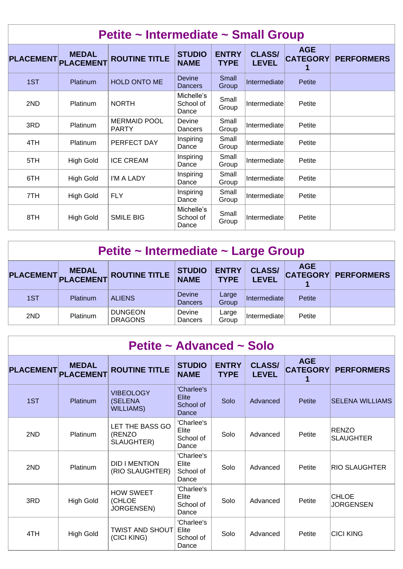| Petite ~ Intermediate ~ Small Group |                                  |                                     |                                  |                             |                               |                               |                   |  |  |  |
|-------------------------------------|----------------------------------|-------------------------------------|----------------------------------|-----------------------------|-------------------------------|-------------------------------|-------------------|--|--|--|
| <b>PLACEMENT</b>                    | <b>MEDAL</b><br><b>PLACEMENT</b> | <b>ROUTINE TITLE</b>                | <b>STUDIO</b><br><b>NAME</b>     | <b>ENTRY</b><br><b>TYPE</b> | <b>CLASS/</b><br><b>LEVEL</b> | <b>AGE</b><br><b>CATEGORY</b> | <b>PERFORMERS</b> |  |  |  |
| 1ST                                 | Platinum                         | <b>HOLD ONTO ME</b>                 | <b>Devine</b><br><b>Dancers</b>  | Small<br>Group              | Intermediate                  | Petite                        |                   |  |  |  |
| 2ND                                 | Platinum                         | <b>NORTH</b>                        | Michelle's<br>School of<br>Dance | Small<br>Group              | Intermediate                  | Petite                        |                   |  |  |  |
| 3RD                                 | Platinum                         | <b>MERMAID POOL</b><br><b>PARTY</b> | Devine<br>Dancers                | Small<br>Group              | Intermediate                  | Petite                        |                   |  |  |  |
| 4TH                                 | Platinum                         | PERFECT DAY                         | Inspiring<br>Dance               | Small<br>Group              | Intermediate                  | Petite                        |                   |  |  |  |
| 5TH                                 | High Gold                        | <b>ICE CREAM</b>                    | Inspiring<br>Dance               | Small<br>Group              | Intermediate                  | Petite                        |                   |  |  |  |
| 6TH                                 | High Gold                        | I'M A LADY                          | Inspiring<br>Dance               | Small<br>Group              | Intermediate                  | Petite                        |                   |  |  |  |
| 7TH                                 | <b>High Gold</b>                 | <b>FLY</b>                          | Inspiring<br>Dance               | Small<br>Group              | Intermediate                  | Petite                        |                   |  |  |  |
| 8TH                                 | <b>High Gold</b>                 | <b>SMILE BIG</b>                    | Michelle's<br>School of<br>Dance | Small<br>Group              | Intermediate                  | Petite                        |                   |  |  |  |

| Petite ~ Intermediate ~ Large Group |                                     |                                  |                                 |                               |                               |                   |  |  |  |  |
|-------------------------------------|-------------------------------------|----------------------------------|---------------------------------|-------------------------------|-------------------------------|-------------------|--|--|--|--|
|                                     | <b>MEDAL</b><br>PLACEMENT PLACEMENT | <b>ROUTINE TITLE</b>             | <b>ENTRY</b><br><b>TYPE</b>     | <b>CLASS/</b><br><b>LEVEL</b> | <b>AGE</b><br><b>CATEGORY</b> | <b>PERFORMERS</b> |  |  |  |  |
| 1ST                                 | <b>Platinum</b>                     | <b>ALIENS</b>                    | <b>Devine</b><br><b>Dancers</b> | Large<br>Group                | <i>Intermediate</i>           | Petite            |  |  |  |  |
| 2ND                                 | <b>Platinum</b>                     | <b>DUNGEON</b><br><b>DRAGONS</b> | Devine<br>Dancers               | Large<br>Group                | <i><b>Intermediatel</b></i>   | Petite            |  |  |  |  |

| Petite ~ Advanced ~ Solo |                                  |                                                 |                                           |                             |                               |                               |                                  |  |  |  |  |
|--------------------------|----------------------------------|-------------------------------------------------|-------------------------------------------|-----------------------------|-------------------------------|-------------------------------|----------------------------------|--|--|--|--|
| <b>PLACEMENT</b>         | <b>MEDAL</b><br><b>PLACEMENT</b> | <b>ROUTINE TITLE</b>                            | <b>STUDIO</b><br><b>NAME</b>              | <b>ENTRY</b><br><b>TYPE</b> | <b>CLASS/</b><br><b>LEVEL</b> | <b>AGE</b><br><b>CATEGORY</b> | <b>PERFORMERS</b>                |  |  |  |  |
| 1ST                      | Platinum                         | <b>VIBEOLOGY</b><br>(SELENA<br><b>WILLIAMS)</b> | 'Charlee's<br>Elite<br>School of<br>Dance | Solo                        | Advanced                      | Petite                        | <b>SELENA WILLIAMS</b>           |  |  |  |  |
| 2ND                      | Platinum                         | LET THE BASS GO<br>(RENZO<br>SLAUGHTER)         | 'Charlee's<br>Elite<br>School of<br>Dance | Solo                        | Advanced                      | Petite                        | <b>RENZO</b><br><b>SLAUGHTER</b> |  |  |  |  |
| 2ND                      | Platinum                         | <b>DID I MENTION</b><br>(RIO SLAUGHTER)         | 'Charlee's<br>Elite<br>School of<br>Dance | Solo                        | Advanced                      | Petite                        | <b>RIO SLAUGHTER</b>             |  |  |  |  |
| 3RD                      | <b>High Gold</b>                 | <b>HOW SWEET</b><br>(CHLOE<br>JORGENSEN)        | 'Charlee's<br>Elite<br>School of<br>Dance | Solo                        | Advanced                      | Petite                        | <b>CHLOE</b><br><b>JORGENSEN</b> |  |  |  |  |
| 4TH                      | <b>High Gold</b>                 | <b>TWIST AND SHOUT</b><br>(CICI KING)           | 'Charlee's<br>Elite<br>School of<br>Dance | Solo                        | Advanced                      | Petite                        | <b>CICI KING</b>                 |  |  |  |  |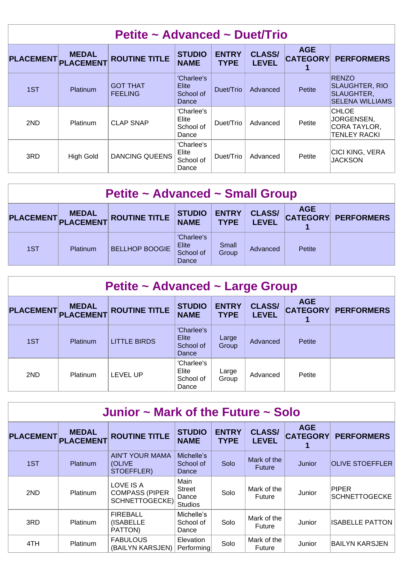| Petite ~ Advanced ~ Duet/Trio |                                  |                                   |                                           |                             |                               |                               |                                                                               |  |  |
|-------------------------------|----------------------------------|-----------------------------------|-------------------------------------------|-----------------------------|-------------------------------|-------------------------------|-------------------------------------------------------------------------------|--|--|
| <b>PLACEMENT</b>              | <b>MEDAL</b><br><b>PLACEMENT</b> | <b>ROUTINE TITLE</b>              | <b>STUDIO</b><br><b>NAME</b>              | <b>ENTRY</b><br><b>TYPE</b> | <b>CLASS/</b><br><b>LEVEL</b> | <b>AGE</b><br><b>CATEGORY</b> | <b>PERFORMERS</b>                                                             |  |  |
| 1ST                           | Platinum                         | <b>GOT THAT</b><br><b>FEELING</b> | 'Charlee's<br>Elite<br>School of<br>Dance | Duet/Trio                   | Advanced                      | Petite                        | <b>RENZO</b><br><b>SLAUGHTER, RIO</b><br>SLAUGHTER,<br><b>SELENA WILLIAMS</b> |  |  |
| 2ND                           | Platinum                         | <b>CLAP SNAP</b>                  | 'Charlee's<br>Elite<br>School of<br>Dance | Duet/Trio                   | Advanced                      | Petite                        | <b>CHLOE</b><br>JORGENSEN,<br>CORA TAYLOR,<br><b>TENLEY RACKI</b>             |  |  |
| 3RD                           | <b>High Gold</b>                 | <b>DANCING QUEENS</b>             | 'Charlee's<br>Elite<br>School of<br>Dance | Duet/Trio                   | Advanced                      | Petite                        | <b>CICI KING, VERA</b><br><b>JACKSON</b>                                      |  |  |

| <b>Petite ~ Advanced ~ Small Group</b> |                 |                       |                                                  |                             |                               |            |                            |  |  |
|----------------------------------------|-----------------|-----------------------|--------------------------------------------------|-----------------------------|-------------------------------|------------|----------------------------|--|--|
| PLACEMENT PLACEMENT                    | <b>MEDAL</b>    | <b>ROUTINE TITLE</b>  | <b>STUDIO</b><br><b>NAME</b>                     | <b>ENTRY</b><br><b>TYPE</b> | <b>CLASS/</b><br><b>LEVEL</b> | <b>AGE</b> | <b>CATEGORY PERFORMERS</b> |  |  |
| 1ST                                    | <b>Platinum</b> | <b>BELLHOP BOOGIE</b> | 'Charlee's<br><b>Elite</b><br>School of<br>Dance | Small<br>Group              | Advanced                      | Petite     |                            |  |  |

| Petite ~ Advanced ~ Large Group |                                  |                      |                                           |                             |                               |            |                            |  |  |  |
|---------------------------------|----------------------------------|----------------------|-------------------------------------------|-----------------------------|-------------------------------|------------|----------------------------|--|--|--|
| <b>PLACEMENT</b>                | <b>MEDAL</b><br><b>PLACEMENT</b> | <b>ROUTINE TITLE</b> | <b>STUDIO</b><br><b>NAME</b>              | <b>ENTRY</b><br><b>TYPE</b> | <b>CLASS/</b><br><b>LEVEL</b> | <b>AGE</b> | <b>CATEGORY PERFORMERS</b> |  |  |  |
| 1ST                             | <b>Platinum</b>                  | <b>LITTLE BIRDS</b>  | 'Charlee's<br>Elite<br>School of<br>Dance | Large<br>Group              | Advanced                      | Petite     |                            |  |  |  |
| 2ND                             | Platinum                         | <b>LEVEL UP</b>      | 'Charlee's<br>Elite<br>School of<br>Dance | Large<br>Group              | Advanced                      | Petite     |                            |  |  |  |

| Junior $\sim$ Mark of the Future $\sim$ Solo |                                  |                                                             |                                                  |                             |                               |                               |                               |  |  |  |
|----------------------------------------------|----------------------------------|-------------------------------------------------------------|--------------------------------------------------|-----------------------------|-------------------------------|-------------------------------|-------------------------------|--|--|--|
| <b>PLACEMENT</b>                             | <b>MEDAL</b><br><b>PLACEMENT</b> | <b>ROUTINE TITLE</b>                                        | <b>STUDIO</b><br><b>NAME</b>                     | <b>ENTRY</b><br><b>TYPE</b> | <b>CLASS/</b><br><b>LEVEL</b> | <b>AGE</b><br><b>CATEGORY</b> | <b>PERFORMERS</b>             |  |  |  |
| 1ST                                          | <b>Platinum</b>                  | <b>AIN'T YOUR MAMA</b><br>(OLIVE<br>STOEFFLER)              | Michelle's<br>School of<br>Dance                 | Solo                        | Mark of the<br><b>Future</b>  | Junior                        | <b>OLIVE STOEFFLER</b>        |  |  |  |
| 2ND                                          | <b>Platinum</b>                  | LOVE IS A<br><b>COMPASS (PIPER</b><br><b>SCHNETTOGECKE)</b> | Main<br><b>Street</b><br>Dance<br><b>Studios</b> | Solo                        | Mark of the<br>Future         | Junior                        | PIPER<br><b>SCHNETTOGECKE</b> |  |  |  |
| 3RD                                          | <b>Platinum</b>                  | <b>FIREBALL</b><br>(ISABELLE<br>PATTON)                     | Michelle's<br>School of<br>Dance                 | Solo                        | Mark of the<br>Future         | Junior                        | <b>ISABELLE PATTON</b>        |  |  |  |
| 4TH                                          | <b>Platinum</b>                  | <b>FABULOUS</b><br>(BAILYN KARSJEN)                         | <b>Elevation</b><br>Performing                   | Solo                        | Mark of the<br><b>Future</b>  | Junior                        | IBAILYN KARSJEN               |  |  |  |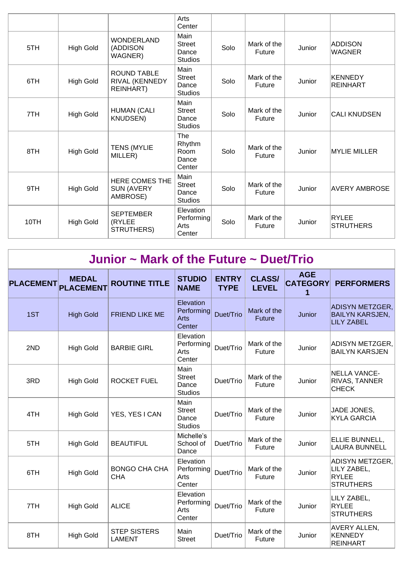|      |                  |                                                   | Arts<br>Center                                   |      |                       |        |                          |
|------|------------------|---------------------------------------------------|--------------------------------------------------|------|-----------------------|--------|--------------------------|
| 5TH  | <b>High Gold</b> | <b>WONDERLAND</b><br>(ADDISON<br>WAGNER)          | Main<br><b>Street</b><br>Dance<br><b>Studios</b> | Solo | Mark of the<br>Future | Junior | ADDISON<br><b>WAGNER</b> |
| 6TH  | <b>High Gold</b> | <b>ROUND TABLE</b><br>RIVAL (KENNEDY<br>REINHART) | Main<br><b>Street</b><br>Dance<br><b>Studios</b> | Solo | Mark of the<br>Future | Junior | KENNEDY<br>REINHART      |
| 7TH  | <b>High Gold</b> | <b>HUMAN (CALI</b><br><b>KNUDSEN)</b>             | Main<br><b>Street</b><br>Dance<br><b>Studios</b> | Solo | Mark of the<br>Future | Junior | <b>CALI KNUDSEN</b>      |
| 8TH  | <b>High Gold</b> | <b>TENS (MYLIE</b><br>MILLER)                     | The<br>Rhythm<br>Room<br>Dance<br>Center         | Solo | Mark of the<br>Future | Junior | <b>MYLIE MILLER</b>      |
| 9TH  | <b>High Gold</b> | HERE COMES THE<br><b>SUN (AVERY</b><br>AMBROSE)   | Main<br><b>Street</b><br>Dance<br><b>Studios</b> | Solo | Mark of the<br>Future | Junior | <b>AVERY AMBROSE</b>     |
| 10TH | <b>High Gold</b> | <b>SEPTEMBER</b><br>(RYLEE<br>STRUTHERS)          | Elevation<br>Performing<br>Arts<br>Center        | Solo | Mark of the<br>Future | Junior | RYLEE<br>STRUTHERS       |

| Junior $\sim$ Mark of the Future $\sim$ Duet/Trio |  |  |  |  |
|---------------------------------------------------|--|--|--|--|
|---------------------------------------------------|--|--|--|--|

| <b>PLACEMENT</b> | <b>MEDAL</b><br><b>PLACEMENT</b> | <b>ROUTINE TITLE</b>                 | <b>STUDIO</b><br><b>NAME</b>                     | <b>ENTRY</b><br><b>TYPE</b> | <b>CLASS/</b><br><b>LEVEL</b> | <b>AGE</b><br><b>CATEGORY</b> | <b>PERFORMERS</b>                                                  |
|------------------|----------------------------------|--------------------------------------|--------------------------------------------------|-----------------------------|-------------------------------|-------------------------------|--------------------------------------------------------------------|
| 1ST              | <b>High Gold</b>                 | <b>FRIEND LIKE ME</b>                | Elevation<br>Performing<br>Arts<br>Center        | Duet/Trio                   | Mark of the<br><b>Future</b>  | Junior                        | ADISYN METZGER,<br><b>BAILYN KARSJEN,</b><br><b>LILY ZABEL</b>     |
| 2ND              | <b>High Gold</b>                 | <b>BARBIE GIRL</b>                   | Elevation<br>Performing<br>Arts<br>Center        | Duet/Trio                   | Mark of the<br>Future         | Junior                        | ADISYN METZGER,<br><b>BAILYN KARSJEN</b>                           |
| 3RD              | <b>High Gold</b>                 | <b>ROCKET FUEL</b>                   | Main<br><b>Street</b><br>Dance<br><b>Studios</b> | Duet/Trio                   | Mark of the<br>Future         | Junior                        | NELLA VANCE-<br><b>RIVAS, TANNER</b><br><b>CHECK</b>               |
| 4TH              | <b>High Gold</b>                 | YES, YES I CAN                       | Main<br><b>Street</b><br>Dance<br><b>Studios</b> | Duet/Trio                   | Mark of the<br>Future         | Junior                        | JADE JONES,<br><b>KYLA GARCIA</b>                                  |
| 5TH              | <b>High Gold</b>                 | <b>BEAUTIFUL</b>                     | Michelle's<br>School of<br>Dance                 | Duet/Trio                   | Mark of the<br>Future         | Junior                        | ELLIE BUNNELL,<br><b>LAURA BUNNELL</b>                             |
| 6TH              | <b>High Gold</b>                 | <b>BONGO CHA CHA</b><br><b>CHA</b>   | Elevation<br>Performing<br>Arts<br>Center        | Duet/Trio                   | Mark of the<br>Future         | Junior                        | ADISYN METZGER,<br>LILY ZABEL,<br><b>RYLEE</b><br><b>STRUTHERS</b> |
| 7TH              | <b>High Gold</b>                 | <b>ALICE</b>                         | Elevation<br>Performing<br>Arts<br>Center        | Duet/Trio                   | Mark of the<br>Future         | Junior                        | LILY ZABEL,<br><b>RYLEE</b><br><b>STRUTHERS</b>                    |
| 8TH              | <b>High Gold</b>                 | <b>STEP SISTERS</b><br><b>LAMENT</b> | Main<br><b>Street</b>                            | Duet/Trio                   | Mark of the<br><b>Future</b>  | Junior                        | <b>AVERY ALLEN,</b><br><b>KENNEDY</b><br><b>REINHART</b>           |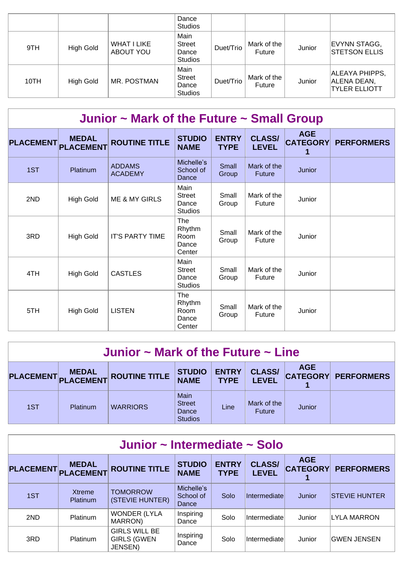|      |           |                                 | Dance<br><b>Studios</b>                          |           |                       |        |                                                       |
|------|-----------|---------------------------------|--------------------------------------------------|-----------|-----------------------|--------|-------------------------------------------------------|
| 9TH  | High Gold | <b>WHAT I LIKE</b><br>ABOUT YOU | Main<br><b>Street</b><br>Dance<br><b>Studios</b> | Duet/Trio | Mark of the<br>Future | Junior | EVYNN STAGG,<br><b>STETSON ELLIS</b>                  |
| 10TH | High Gold | MR. POSTMAN                     | Main<br><b>Street</b><br>Dance<br><b>Studios</b> | Duet/Trio | Mark of the<br>Future | Junior | ALEAYA PHIPPS,<br>ALENA DEAN,<br><b>TYLER ELLIOTT</b> |

| Junior $\sim$ Mark of the Future $\sim$ Small Group |                  |                                 |                                                  |                             |                               |                               |                   |  |  |
|-----------------------------------------------------|------------------|---------------------------------|--------------------------------------------------|-----------------------------|-------------------------------|-------------------------------|-------------------|--|--|
| PLACEMENT PLACEMENT                                 | <b>MEDAL</b>     | <b>ROUTINE TITLE</b>            | <b>STUDIO</b><br><b>NAME</b>                     | <b>ENTRY</b><br><b>TYPE</b> | <b>CLASS/</b><br><b>LEVEL</b> | <b>AGE</b><br><b>CATEGORY</b> | <b>PERFORMERS</b> |  |  |
| 1ST                                                 | <b>Platinum</b>  | <b>ADDAMS</b><br><b>ACADEMY</b> | Michelle's<br>School of<br>Dance                 | Small<br>Group              | Mark of the<br><b>Future</b>  | Junior                        |                   |  |  |
| 2ND                                                 | <b>High Gold</b> | <b>ME &amp; MY GIRLS</b>        | Main<br><b>Street</b><br>Dance<br><b>Studios</b> | Small<br>Group              | Mark of the<br>Future         | Junior                        |                   |  |  |
| 3RD                                                 | <b>High Gold</b> | <b>IT'S PARTY TIME</b>          | The<br>Rhythm<br>Room<br>Dance<br>Center         | Small<br>Group              | Mark of the<br><b>Future</b>  | Junior                        |                   |  |  |
| 4TH                                                 | <b>High Gold</b> | <b>CASTLES</b>                  | Main<br><b>Street</b><br>Dance<br><b>Studios</b> | Small<br>Group              | Mark of the<br>Future         | Junior                        |                   |  |  |
| 5TH                                                 | <b>High Gold</b> | <b>LISTEN</b>                   | <b>The</b><br>Rhythm<br>Room<br>Dance<br>Center  | Small<br>Group              | Mark of the<br>Future         | Junior                        |                   |  |  |

| Junior $\sim$ Mark of the Future $\sim$ Line |                           |                      |                                                  |                             |                               |            |                            |  |  |
|----------------------------------------------|---------------------------|----------------------|--------------------------------------------------|-----------------------------|-------------------------------|------------|----------------------------|--|--|
| <b>PLACEMENT</b>                             | <b>MEDAL</b><br>PLACEMENT | <b>ROUTINE TITLE</b> | <b>STUDIO</b><br><b>NAME</b>                     | <b>ENTRY</b><br><b>TYPE</b> | <b>CLASS/</b><br><b>LEVEL</b> | <b>AGE</b> | <b>CATEGORY PERFORMERS</b> |  |  |
| 1ST                                          | Platinum                  | <b>WARRIORS</b>      | Main<br><b>Street</b><br>Dance<br><b>Studios</b> | Line                        | Mark of the<br>Future         | Junior     |                            |  |  |

| Junior ~ Intermediate ~ Solo |                           |                                                       |                                  |                             |                               |                               |                      |  |  |  |
|------------------------------|---------------------------|-------------------------------------------------------|----------------------------------|-----------------------------|-------------------------------|-------------------------------|----------------------|--|--|--|
| PLACEMENT PLACEMENT          | <b>MEDAL</b>              | <b>ROUTINE TITLE</b>                                  | <b>STUDIO</b><br><b>NAME</b>     | <b>ENTRY</b><br><b>TYPE</b> | <b>CLASS/</b><br><b>LEVEL</b> | <b>AGE</b><br><b>CATEGORY</b> | <b>PERFORMERS</b>    |  |  |  |
| 1ST                          | Xtreme<br><b>Platinum</b> | <b>TOMORROW</b><br>(STEVIE HUNTER)                    | Michelle's<br>School of<br>Dance | Solo                        | Intermediate                  | Junior                        | <b>STEVIE HUNTER</b> |  |  |  |
| 2ND                          | Platinum                  | <b>WONDER (LYLA</b><br>MARRON)                        | Inspiring<br>Dance               | Solo                        | Intermediate                  | Junior                        | LYLA MARRON          |  |  |  |
| 3RD                          | Platinum                  | <b>GIRLS WILL BE</b><br><b>GIRLS (GWEN</b><br>JENSEN) | Inspiring<br>Dance               | Solo                        | Intermediate                  | Junior                        | <b>GWEN JENSEN</b>   |  |  |  |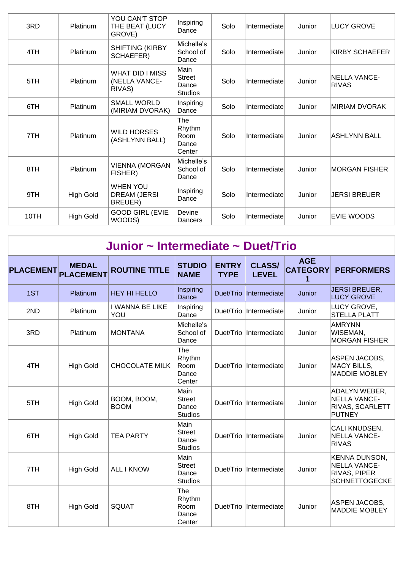| 3RD  | Platinum         | YOU CAN'T STOP<br>THE BEAT (LUCY<br>GROVE)        | Inspiring<br>Dance                               | Solo | Intermediate | Junior | <b>LUCY GROVE</b>             |
|------|------------------|---------------------------------------------------|--------------------------------------------------|------|--------------|--------|-------------------------------|
| 4TH  | Platinum         | <b>SHIFTING (KIRBY</b><br>SCHAEFER)               | Michelle's<br>School of<br>Dance                 | Solo | Intermediate | Junior | KIRBY SCHAEFER                |
| 5TH  | Platinum         | <b>WHAT DID I MISS</b><br>(NELLA VANCE-<br>RIVAS) | Main<br><b>Street</b><br>Dance<br><b>Studios</b> | Solo | Intermediate | Junior | INELLA VANCE-<br><b>RIVAS</b> |
| 6TH  | Platinum         | <b>SMALL WORLD</b><br>(MIRIAM DVORAK)             | Inspiring<br>Dance                               | Solo | Intermediate | Junior | <b>MIRIAM DVORAK</b>          |
| 7TH  | Platinum         | <b>WILD HORSES</b><br>(ASHLYNN BALL)              | The<br>Rhythm<br>Room<br>Dance<br>Center         | Solo | Intermediate | Junior | <b>ASHLYNN BALL</b>           |
| 8TH  | Platinum         | VIENNA (MORGAN<br>FISHER)                         | Michelle's<br>School of<br>Dance                 | Solo | Intermediate | Junior | <b>MORGAN FISHER</b>          |
| 9TH  | <b>High Gold</b> | <b>WHEN YOU</b><br><b>DREAM (JERSI</b><br>BREUER) | Inspiring<br>Dance                               | Solo | Intermediate | Junior | JERSI BREUER                  |
| 10TH | <b>High Gold</b> | <b>GOOD GIRL (EVIE</b><br>WOODS)                  | Devine<br>Dancers                                | Solo | Intermediate | Junior | EVIE WOODS                    |

| Junior ~ Intermediate ~ Duet/Trio |                                  |                               |                                                  |                             |                               |                                    |                                                                       |  |  |  |
|-----------------------------------|----------------------------------|-------------------------------|--------------------------------------------------|-----------------------------|-------------------------------|------------------------------------|-----------------------------------------------------------------------|--|--|--|
| <b>PLACEMENT</b>                  | <b>MEDAL</b><br><b>PLACEMENT</b> | <b>ROUTINE TITLE</b>          | <b>STUDIO</b><br><b>NAME</b>                     | <b>ENTRY</b><br><b>TYPE</b> | <b>CLASS/</b><br><b>LEVEL</b> | <b>AGE</b><br><b>CATEGORY</b><br>1 | <b>PERFORMERS</b>                                                     |  |  |  |
| 1ST                               | Platinum                         | <b>HEY HI HELLO</b>           | Inspiring<br>Dance                               |                             | Duet/Trio Intermediate        | Junior                             | <b>JERSI BREUER,</b><br><b>LUCY GROVE</b>                             |  |  |  |
| 2ND                               | Platinum                         | <b>I WANNA BE LIKE</b><br>YOU | Inspiring<br>Dance                               | Duet/Trio                   | Intermediate                  | Junior                             | LUCY GROVE,<br><b>STELLA PLATT</b>                                    |  |  |  |
| 3RD                               | Platinum                         | <b>MONTANA</b>                | Michelle's<br>School of<br>Dance                 |                             | Duet/Trio Intermediate        | Junior                             | <b>AMRYNN</b><br>WISEMAN,<br><b>MORGAN FISHER</b>                     |  |  |  |
| 4TH                               | <b>High Gold</b>                 | <b>CHOCOLATE MILK</b>         | The<br>Rhythm<br>Room<br>Dance<br>Center         |                             | Duet/Trio   Intermediate      | Junior                             | ASPEN JACOBS,<br>MACY BILLS,<br><b>MADDIE MOBLEY</b>                  |  |  |  |
| 5TH                               | <b>High Gold</b>                 | BOOM, BOOM,<br><b>BOOM</b>    | Main<br><b>Street</b><br>Dance<br><b>Studios</b> |                             | Duet/Trio Intermediate        | Junior                             | ADALYN WEBER,<br><b>NELLA VANCE-</b><br>RIVAS, SCARLETT<br>PUTNEY     |  |  |  |
| 6TH                               | <b>High Gold</b>                 | <b>TEA PARTY</b>              | Main<br><b>Street</b><br>Dance<br><b>Studios</b> |                             | Duet/Trio  Intermediate       | Junior                             | CALI KNUDSEN,<br><b>NELLA VANCE-</b><br><b>RIVAS</b>                  |  |  |  |
| 7TH                               | <b>High Gold</b>                 | <b>ALL I KNOW</b>             | Main<br><b>Street</b><br>Dance<br><b>Studios</b> |                             | Duet/Trio   Intermediate      | Junior                             | KENNA DUNSON,<br>NELLA VANCE-<br>RIVAS, PIPER<br><b>SCHNETTOGECKE</b> |  |  |  |
| 8TH                               | <b>High Gold</b>                 | <b>SQUAT</b>                  | The<br>Rhythm<br>Room<br>Dance<br>Center         |                             | Duet/Trio   Intermediate      | Junior                             | ASPEN JACOBS,<br><b>MADDIE MOBLEY</b>                                 |  |  |  |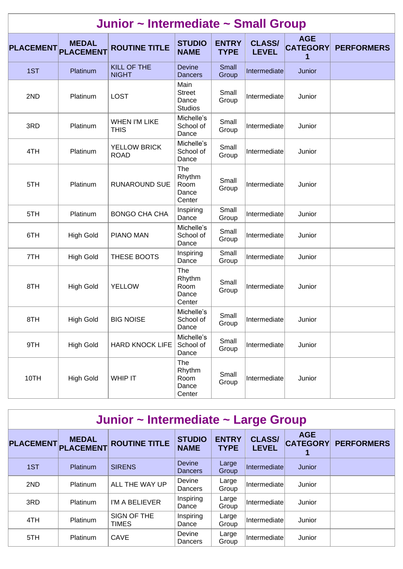| Junior ~ Intermediate ~ Small Group |                                  |                                     |                                                  |                             |                               |                                    |                   |  |  |  |
|-------------------------------------|----------------------------------|-------------------------------------|--------------------------------------------------|-----------------------------|-------------------------------|------------------------------------|-------------------|--|--|--|
| <b>PLACEMENT</b>                    | <b>MEDAL</b><br><b>PLACEMENT</b> | <b>ROUTINE TITLE</b>                | <b>STUDIO</b><br><b>NAME</b>                     | <b>ENTRY</b><br><b>TYPE</b> | <b>CLASS/</b><br><b>LEVEL</b> | <b>AGE</b><br><b>CATEGORY</b><br>1 | <b>PERFORMERS</b> |  |  |  |
| 1ST                                 | Platinum                         | <b>KILL OF THE</b><br><b>NIGHT</b>  | <b>Devine</b><br><b>Dancers</b>                  | Small<br>Group              | Intermediate                  | Junior                             |                   |  |  |  |
| 2ND                                 | Platinum                         | <b>LOST</b>                         | Main<br><b>Street</b><br>Dance<br><b>Studios</b> | Small<br>Group              | Intermediate                  | Junior                             |                   |  |  |  |
| 3RD                                 | Platinum                         | <b>WHEN I'M LIKE</b><br><b>THIS</b> | Michelle's<br>School of<br>Dance                 | Small<br>Group              | Intermediate                  | Junior                             |                   |  |  |  |
| 4TH                                 | Platinum                         | YELLOW BRICK<br><b>ROAD</b>         | Michelle's<br>School of<br>Dance                 | Small<br>Group              | Intermediate                  | Junior                             |                   |  |  |  |
| 5TH                                 | Platinum                         | <b>RUNAROUND SUE</b>                | The<br>Rhythm<br>Room<br>Dance<br>Center         | Small<br>Group              | Intermediate                  | Junior                             |                   |  |  |  |
| 5TH                                 | Platinum                         | <b>BONGO CHA CHA</b>                | Inspiring<br>Dance                               | Small<br>Group              | Intermediate                  | Junior                             |                   |  |  |  |
| 6TH                                 | <b>High Gold</b>                 | <b>PIANO MAN</b>                    | Michelle's<br>School of<br>Dance                 | Small<br>Group              | Intermediate                  | Junior                             |                   |  |  |  |
| 7TH                                 | <b>High Gold</b>                 | THESE BOOTS                         | Inspiring<br>Dance                               | Small<br>Group              | Intermediate                  | Junior                             |                   |  |  |  |
| 8TH                                 | <b>High Gold</b>                 | <b>YELLOW</b>                       | The<br>Rhythm<br>Room<br>Dance<br>Center         | Small<br>Group              | Intermediate                  | Junior                             |                   |  |  |  |
| 8TH                                 | <b>High Gold</b>                 | <b>BIG NOISE</b>                    | Michelle's<br>School of<br>Dance                 | Small<br>Group              | Intermediate                  | Junior                             |                   |  |  |  |
| 9TH                                 | <b>High Gold</b>                 | <b>HARD KNOCK LIFE</b>              | Michelle's<br>School of<br>Dance                 | Small<br>Group              | Intermediate                  | Junior                             |                   |  |  |  |
| 10TH                                | <b>High Gold</b>                 | <b>WHIP IT</b>                      | The<br>Rhythm<br>Room<br>Dance<br>Center         | Small<br>Group              | Intermediate                  | Junior                             |                   |  |  |  |

| <b>PLACEMENT</b> | <b>MEDAL</b><br><b>PLACEMENT</b> | <b>ROUTINE TITLE</b> | <b>STUDIO</b><br><b>NAME</b> | <b>ENTRY</b><br><b>TYPE</b> | <b>CLASS/</b><br><b>LEVEL</b> | <b>AGE</b><br><b>CATEGORY</b> | <b>PERFORMERS</b> |
|------------------|----------------------------------|----------------------|------------------------------|-----------------------------|-------------------------------|-------------------------------|-------------------|
| 1ST              | <b>Platinum</b>                  | <b>SIRENS</b>        | <b>Devine</b><br>Dancers     | Large<br>Group              | Intermediate                  | Junior                        |                   |
| 2ND              | Platinum                         | ALL THE WAY UP       | Devine<br>Dancers            | Large<br>Group              | Intermediate                  | Junior                        |                   |
| 3RD              | Platinum                         | I'M A BELIEVER       | Inspiring<br>Dance           | Large<br>Group              | Intermediatel                 | Junior                        |                   |
| 4TH              | Platinum                         | SIGN OF THE<br>TIMES | Inspiring<br>Dance           | Large<br>Group              | Intermediate                  | Junior                        |                   |
| 5TH              | Platinum                         | CAVE                 | Devine<br>Dancers            | Large<br>Group              | Intermediate                  | Junior                        |                   |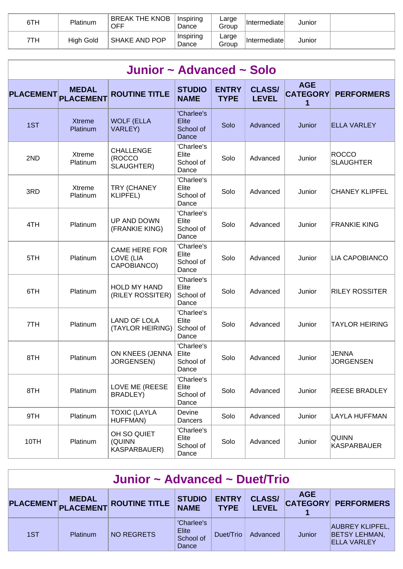| 6TH | Platinum  | <b>BREAK THE KNOB</b><br><b>OFF</b> | Inspiring<br>Dance | Large<br>Group | Intermediate | Junior |  |
|-----|-----------|-------------------------------------|--------------------|----------------|--------------|--------|--|
| 7TH | High Gold | SHAKE AND POP                       | Inspiring<br>Dance | ∟arge<br>Group | Intermediate | Junior |  |

| Junior ~ Advanced ~ Solo |                                  |                                                  |                                                  |                             |                               |                                    |                                    |  |  |  |  |
|--------------------------|----------------------------------|--------------------------------------------------|--------------------------------------------------|-----------------------------|-------------------------------|------------------------------------|------------------------------------|--|--|--|--|
| <b>PLACEMENT</b>         | <b>MEDAL</b><br><b>PLACEMENT</b> | <b>ROUTINE TITLE</b>                             | <b>STUDIO</b><br><b>NAME</b>                     | <b>ENTRY</b><br><b>TYPE</b> | <b>CLASS/</b><br><b>LEVEL</b> | <b>AGE</b><br><b>CATEGORY</b><br>1 | <b>PERFORMERS</b>                  |  |  |  |  |
| 1ST                      | <b>Xtreme</b><br>Platinum        | <b>WOLF (ELLA</b><br><b>VARLEY)</b>              | 'Charlee's<br><b>Elite</b><br>School of<br>Dance | Solo                        | Advanced                      | Junior                             | <b>ELLA VARLEY</b>                 |  |  |  |  |
| 2ND                      | Xtreme<br>Platinum               | <b>CHALLENGE</b><br>(ROCCO<br>SLAUGHTER)         | 'Charlee's<br>Elite<br>School of<br>Dance        | Solo                        | Advanced                      | Junior                             | <b>ROCCO</b><br><b>SLAUGHTER</b>   |  |  |  |  |
| 3RD                      | Xtreme<br>Platinum               | TRY (CHANEY<br><b>KLIPFEL)</b>                   | 'Charlee's<br>Elite<br>School of<br>Dance        | Solo                        | Advanced                      | Junior                             | <b>CHANEY KLIPFEL</b>              |  |  |  |  |
| 4TH                      | Platinum                         | UP AND DOWN<br>(FRANKIE KING)                    | 'Charlee's<br>Elite<br>School of<br>Dance        | Solo                        | Advanced                      | Junior                             | <b>FRANKIE KING</b>                |  |  |  |  |
| 5TH                      | Platinum                         | <b>CAME HERE FOR</b><br>LOVE (LIA<br>CAPOBIANCO) | 'Charlee's<br>Elite<br>School of<br>Dance        | Solo                        | Advanced                      | Junior                             | LIA CAPOBIANCO                     |  |  |  |  |
| 6TH                      | Platinum                         | <b>HOLD MY HAND</b><br>(RILEY ROSSITER)          | 'Charlee's<br>Elite<br>School of<br>Dance        | Solo                        | Advanced                      | Junior                             | <b>RILEY ROSSITER</b>              |  |  |  |  |
| 7TH                      | Platinum                         | <b>LAND OF LOLA</b><br>(TAYLOR HEIRING)          | 'Charlee's<br>Elite<br>School of<br>Dance        | Solo                        | Advanced                      | Junior                             | <b>TAYLOR HEIRING</b>              |  |  |  |  |
| 8TH                      | Platinum                         | ON KNEES (JENNA<br>JORGENSEN)                    | 'Charlee's<br>Elite<br>School of<br>Dance        | Solo                        | Advanced                      | Junior                             | JENNA<br><b>JORGENSEN</b>          |  |  |  |  |
| 8TH                      | Platinum                         | LOVE ME (REESE<br>BRADLEY)                       | 'Charlee's<br>Elite<br>School of<br>Dance        | Solo                        | Advanced                      | Junior                             | <b>REESE BRADLEY</b>               |  |  |  |  |
| 9TH                      | Platinum                         | <b>TOXIC (LAYLA</b><br>HUFFMAN)                  | Devine<br>Dancers                                | Solo                        | Advanced                      | Junior                             | <b>LAYLA HUFFMAN</b>               |  |  |  |  |
| 10TH                     | Platinum                         | OH SO QUIET<br>(QUINN<br>KASPARBAUER)            | 'Charlee's<br>Elite<br>School of<br>Dance        | Solo                        | Advanced                      | Junior                             | <b>QUINN</b><br><b>KASPARBAUER</b> |  |  |  |  |

| Junior ~ Advanced ~ Duet/Trio |                 |                                   |                                           |                             |                               |            |                                                                      |  |
|-------------------------------|-----------------|-----------------------------------|-------------------------------------------|-----------------------------|-------------------------------|------------|----------------------------------------------------------------------|--|
|                               | <b>MEDAL</b>    | PLACEMENT PLACEMENT ROUTINE TITLE | <b>STUDIO</b><br><b>NAME</b>              | <b>ENTRY</b><br><b>TYPE</b> | <b>CLASS/</b><br><b>LEVEL</b> | <b>AGE</b> | <b>CATEGORY PERFORMERS</b>                                           |  |
| 1ST                           | <b>Platinum</b> | NO REGRETS                        | 'Charlee's<br>Elite<br>School of<br>Dance | Duet/Trio                   | Advanced                      | Junior     | <b>AUBREY KLIPFEL,</b><br><b>BETSY LEHMAN,</b><br><b>ELLA VARLEY</b> |  |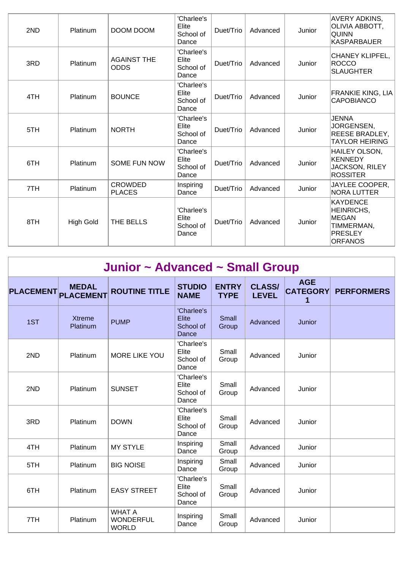| 2ND | Platinum         | DOOM DOOM                         | 'Charlee's<br>Elite<br>School of<br>Dance | Duet/Trio | Advanced | Junior | AVERY ADKINS,<br> OLIVIA ABBOTT,<br><b>QUINN</b><br>KASPARBAUER              |
|-----|------------------|-----------------------------------|-------------------------------------------|-----------|----------|--------|------------------------------------------------------------------------------|
| 3RD | Platinum         | <b>AGAINST THE</b><br><b>ODDS</b> | 'Charlee's<br>Elite<br>School of<br>Dance | Duet/Trio | Advanced | Junior | CHANEY KLIPFEL,<br>ROCCO<br><b>SLAUGHTER</b>                                 |
| 4TH | Platinum         | <b>BOUNCE</b>                     | 'Charlee's<br>Elite<br>School of<br>Dance | Duet/Trio | Advanced | Junior | FRANKIE KING, LIA<br><b>CAPOBIANCO</b>                                       |
| 5TH | Platinum         | <b>NORTH</b>                      | 'Charlee's<br>Elite<br>School of<br>Dance | Duet/Trio | Advanced | Junior | <b>JENNA</b><br>JORGENSEN,<br><b>REESE BRADLEY,</b><br><b>TAYLOR HEIRING</b> |
| 6TH | Platinum         | SOME FUN NOW                      | 'Charlee's<br>Elite<br>School of<br>Dance | Duet/Trio | Advanced | Junior | HAILEY OLSON,<br>KENNEDY<br>JACKSON, RILEY<br>ROSSITER                       |
| 7TH | Platinum         | <b>CROWDED</b><br><b>PLACES</b>   | Inspiring<br>Dance                        | Duet/Trio | Advanced | Junior | JAYLEE COOPER,<br><b>NORA LUTTER</b>                                         |
| 8TH | <b>High Gold</b> | THE BELLS                         | 'Charlee's<br>Elite<br>School of<br>Dance | Duet/Trio | Advanced | Junior | KAYDENCE<br>HEINRICHS,<br>MEGAN<br>TIMMERMAN,<br>PRESLEY<br><b>ORFANOS</b>   |

| Junior ~ Advanced ~ Small Group |                                  |                                                   |                                                  |                             |                               |                                    |                   |  |  |  |  |
|---------------------------------|----------------------------------|---------------------------------------------------|--------------------------------------------------|-----------------------------|-------------------------------|------------------------------------|-------------------|--|--|--|--|
| <b>PLACEMENT</b>                | <b>MEDAL</b><br><b>PLACEMENT</b> | <b>ROUTINE TITLE</b>                              | <b>STUDIO</b><br><b>NAME</b>                     | <b>ENTRY</b><br><b>TYPE</b> | <b>CLASS/</b><br><b>LEVEL</b> | <b>AGE</b><br><b>CATEGORY</b><br>1 | <b>PERFORMERS</b> |  |  |  |  |
| 1ST                             | <b>Xtreme</b><br>Platinum        | <b>PUMP</b>                                       | 'Charlee's<br><b>Elite</b><br>School of<br>Dance | Small<br>Group              | Advanced                      | Junior                             |                   |  |  |  |  |
| 2ND                             | Platinum                         | <b>MORE LIKE YOU</b>                              | 'Charlee's<br>Elite<br>School of<br>Dance        | Small<br>Group              | Advanced                      | Junior                             |                   |  |  |  |  |
| 2ND                             | Platinum                         | <b>SUNSET</b>                                     | 'Charlee's<br>Elite<br>School of<br>Dance        | Small<br>Group              | Advanced                      | Junior                             |                   |  |  |  |  |
| 3RD                             | Platinum                         | <b>DOWN</b>                                       | 'Charlee's<br>Elite<br>School of<br>Dance        | Small<br>Group              | Advanced                      | Junior                             |                   |  |  |  |  |
| 4TH                             | Platinum                         | <b>MY STYLE</b>                                   | Inspiring<br>Dance                               | Small<br>Group              | Advanced                      | Junior                             |                   |  |  |  |  |
| 5TH                             | Platinum                         | <b>BIG NOISE</b>                                  | Inspiring<br>Dance                               | Small<br>Group              | Advanced                      | Junior                             |                   |  |  |  |  |
| 6TH                             | Platinum                         | <b>EASY STREET</b>                                | 'Charlee's<br>Elite<br>School of<br>Dance        | Small<br>Group              | Advanced                      | Junior                             |                   |  |  |  |  |
| 7TH                             | Platinum                         | <b>WHAT A</b><br><b>WONDERFUL</b><br><b>WORLD</b> | Inspiring<br>Dance                               | Small<br>Group              | Advanced                      | Junior                             |                   |  |  |  |  |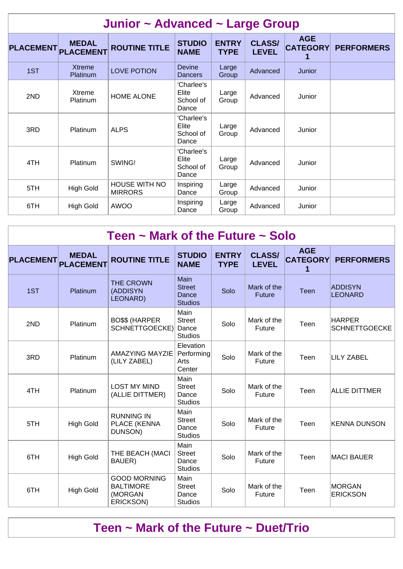| Junior ~ Advanced ~ Large Group |                                  |                                        |                                           |                             |                               |                                    |                   |  |  |  |
|---------------------------------|----------------------------------|----------------------------------------|-------------------------------------------|-----------------------------|-------------------------------|------------------------------------|-------------------|--|--|--|
| <b>PLACEMENT</b>                | <b>MEDAL</b><br><b>PLACEMENT</b> | <b>ROUTINE TITLE</b>                   | <b>STUDIO</b><br><b>NAME</b>              | <b>ENTRY</b><br><b>TYPE</b> | <b>CLASS/</b><br><b>LEVEL</b> | <b>AGE</b><br><b>CATEGORY</b><br>1 | <b>PERFORMERS</b> |  |  |  |
| 1ST                             | <b>Xtreme</b><br><b>Platinum</b> | <b>LOVE POTION</b>                     | <b>Devine</b><br><b>Dancers</b>           | Large<br>Group              | Advanced                      | Junior                             |                   |  |  |  |
| 2ND                             | <b>Xtreme</b><br>Platinum        | <b>HOME ALONE</b>                      | 'Charlee's<br>Elite<br>School of<br>Dance | Large<br>Group              | Advanced                      | Junior                             |                   |  |  |  |
| 3RD                             | Platinum                         | <b>ALPS</b>                            | 'Charlee's<br>Elite<br>School of<br>Dance | Large<br>Group              | Advanced                      | Junior                             |                   |  |  |  |
| 4TH                             | <b>Platinum</b>                  | SWING!                                 | 'Charlee's<br>Elite<br>School of<br>Dance | Large<br>Group              | Advanced                      | Junior                             |                   |  |  |  |
| 5TH                             | <b>High Gold</b>                 | <b>HOUSE WITH NO</b><br><b>MIRRORS</b> | Inspiring<br>Dance                        | Large<br>Group              | Advanced                      | Junior                             |                   |  |  |  |
| 6TH                             | <b>High Gold</b>                 | <b>AWOO</b>                            | Inspiring<br>Dance                        | Large<br>Group              | Advanced                      | Junior                             |                   |  |  |  |

| Teen $\sim$ Mark of the Future $\sim$ Solo |                                  |                                                                 |                                                         |                             |                               |                               |                                       |  |  |  |
|--------------------------------------------|----------------------------------|-----------------------------------------------------------------|---------------------------------------------------------|-----------------------------|-------------------------------|-------------------------------|---------------------------------------|--|--|--|
| <b>PLACEMENT</b>                           | <b>MEDAL</b><br><b>PLACEMENT</b> | <b>ROUTINE TITLE</b>                                            | <b>STUDIO</b><br><b>NAME</b>                            | <b>ENTRY</b><br><b>TYPE</b> | <b>CLASS/</b><br><b>LEVEL</b> | <b>AGE</b><br><b>CATEGORY</b> | <b>PERFORMERS</b>                     |  |  |  |
| 1ST                                        | Platinum                         | <b>THE CROWN</b><br>(ADDISYN<br>LEONARD)                        | <b>Main</b><br><b>Street</b><br>Dance<br><b>Studios</b> | Solo                        | Mark of the<br><b>Future</b>  | <b>Teen</b>                   | <b>ADDISYN</b><br><b>LEONARD</b>      |  |  |  |
| 2ND                                        | Platinum                         | <b>BO\$\$ (HARPER</b><br>SCHNETTGOECKE)                         | Main<br><b>Street</b><br>Dance<br><b>Studios</b>        | Solo                        | Mark of the<br>Future         | Teen                          | <b>HARPER</b><br><b>SCHNETTGOECKE</b> |  |  |  |
| 3RD                                        | Platinum                         | <b>AMAZYING MAYZIE</b><br>(LILY ZABEL)                          | Elevation<br>Performing<br>Arts<br>Center               | Solo                        | Mark of the<br>Future         | Teen                          | <b>LILY ZABEL</b>                     |  |  |  |
| 4TH                                        | Platinum                         | <b>LOST MY MIND</b><br>(ALLIE DITTMER)                          | Main<br><b>Street</b><br>Dance<br><b>Studios</b>        | Solo                        | Mark of the<br>Future         | Teen                          | <b>ALLIE DITTMER</b>                  |  |  |  |
| 5TH                                        | <b>High Gold</b>                 | <b>RUNNING IN</b><br>PLACE (KENNA<br>DUNSON)                    | Main<br><b>Street</b><br>Dance<br><b>Studios</b>        | Solo                        | Mark of the<br>Future         | Teen                          | <b>KENNA DUNSON</b>                   |  |  |  |
| 6TH                                        | <b>High Gold</b>                 | THE BEACH (MACI<br>BAUER)                                       | Main<br><b>Street</b><br>Dance<br><b>Studios</b>        | Solo                        | Mark of the<br>Future         | Teen                          | <b>MACI BAUER</b>                     |  |  |  |
| 6TH                                        | <b>High Gold</b>                 | <b>GOOD MORNING</b><br><b>BALTIMORE</b><br>(MORGAN<br>ERICKSON) | Main<br><b>Street</b><br>Dance<br><b>Studios</b>        | Solo                        | Mark of the<br>Future         | Teen                          | <b>MORGAN</b><br><b>ERICKSON</b>      |  |  |  |

### **Teen ~ Mark of the Future ~ Duet/Trio**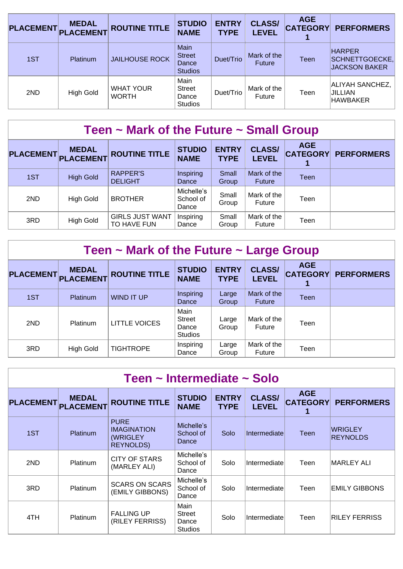| <b>PLACEMENT</b> | <b>MEDAL</b><br><b>PLACEMENT</b> | <b>ROUTINE TITLE</b>             | <b>STUDIO</b><br><b>NAME</b>                     | <b>ENTRY</b><br><b>TYPE</b> | <b>CLASS/</b><br><b>LEVEL</b> | <b>AGE</b><br><b>CATEGORY</b> | <b>PERFORMERS</b>                                       |
|------------------|----------------------------------|----------------------------------|--------------------------------------------------|-----------------------------|-------------------------------|-------------------------------|---------------------------------------------------------|
| 1ST              | <b>Platinum</b>                  | <b>JAILHOUSE ROCK</b>            | Main<br><b>Street</b><br>Dance<br><b>Studios</b> | Duet/Trio                   | Mark of the<br><b>Future</b>  | Teen                          | <b>HARPER</b><br>SCHNETTGOECKE,<br><b>JACKSON BAKER</b> |
| 2ND              | <b>High Gold</b>                 | <b>WHAT YOUR</b><br><b>WORTH</b> | Main<br><b>Street</b><br>Dance<br><b>Studios</b> | Duet/Trio                   | Mark of the<br>Future         | Teen                          | ALIYAH SANCHEZ,<br>JILLIAN<br><b>HAWBAKER</b>           |

| Teen $\sim$ Mark of the Future $\sim$ Small Group |                                  |                                       |                                  |                             |                               |            |                            |  |  |  |
|---------------------------------------------------|----------------------------------|---------------------------------------|----------------------------------|-----------------------------|-------------------------------|------------|----------------------------|--|--|--|
| <b>PLACEMENT</b>                                  | <b>MEDAL</b><br><b>PLACEMENT</b> | <b>ROUTINE TITLE</b>                  | <b>STUDIO</b><br><b>NAME</b>     | <b>ENTRY</b><br><b>TYPE</b> | <b>CLASS/</b><br><b>LEVEL</b> | <b>AGE</b> | <b>CATEGORY PERFORMERS</b> |  |  |  |
| 1ST                                               | <b>High Gold</b>                 | <b>RAPPER'S</b><br><b>DELIGHT</b>     | Inspiring<br>Dance               | Small<br>Group              | Mark of the<br>Future         | Teen       |                            |  |  |  |
| 2ND                                               | High Gold                        | <b>BROTHER</b>                        | Michelle's<br>School of<br>Dance | Small<br>Group              | Mark of the<br>Future         | Teen       |                            |  |  |  |
| 3RD                                               | High Gold                        | <b>GIRLS JUST WANT</b><br>TO HAVE FUN | Inspiring<br>Dance               | Small<br>Group              | Mark of the<br>Future         | Teen       |                            |  |  |  |

|  | <b>Teen ~ Mark of the Future ~ Large Group</b> |  |
|--|------------------------------------------------|--|
|  |                                                |  |

| PLACEMENT PLACEMENT | <b>MEDAL</b>     | <b>ROUTINE TITLE</b> | <b>STUDIO</b><br><b>NAME</b>              | <b>ENTRY</b><br><b>TYPE</b> | <b>CLASS/</b><br><b>LEVEL</b> | <b>AGE</b> | <b>CATEGORY PERFORMERS</b> |
|---------------------|------------------|----------------------|-------------------------------------------|-----------------------------|-------------------------------|------------|----------------------------|
| 1ST                 | <b>Platinum</b>  | WIND IT UP           | Inspiring<br>Dance                        | Large<br>Group              | Mark of the<br><b>Future</b>  | Teen       |                            |
| 2ND                 | Platinum         | <b>LITTLE VOICES</b> | Main<br>Street<br>Dance<br><b>Studios</b> | Large<br>Group              | Mark of the<br>Future         | Teen       |                            |
| 3RD                 | <b>High Gold</b> | <b>TIGHTROPE</b>     | Inspiring<br>Dance                        | Large<br>Group              | Mark of the<br>Future         | Teen       |                            |

| Teen ~ Intermediate ~ Solo |                                  |                                                                    |                                                  |                             |                               |                               |                                   |  |  |  |
|----------------------------|----------------------------------|--------------------------------------------------------------------|--------------------------------------------------|-----------------------------|-------------------------------|-------------------------------|-----------------------------------|--|--|--|
| <b>PLACEMENT</b>           | <b>MEDAL</b><br><b>PLACEMENT</b> | <b>ROUTINE TITLE</b>                                               | <b>STUDIO</b><br><b>NAME</b>                     | <b>ENTRY</b><br><b>TYPE</b> | <b>CLASS/</b><br><b>LEVEL</b> | <b>AGE</b><br><b>CATEGORY</b> | <b>PERFORMERS</b>                 |  |  |  |
| 1ST                        | <b>Platinum</b>                  | <b>PURE</b><br><b>IMAGINATION</b><br>(WRIGLEY<br><b>REYNOLDS</b> ) | Michelle's<br>School of<br>Dance                 | Solo                        | Intermediate                  | Teen                          | <b>WRIGLEY</b><br><b>REYNOLDS</b> |  |  |  |
| 2ND                        | <b>Platinum</b>                  | <b>CITY OF STARS</b><br>(MARLEY ALI)                               | Michelle's<br>School of<br>Dance                 | Solo                        | Intermediate                  | Teen                          | MARLEY ALI                        |  |  |  |
| 3RD                        | <b>Platinum</b>                  | <b>SCARS ON SCARS</b><br>(EMILY GIBBONS)                           | Michelle's<br>School of<br>Dance                 | Solo                        | Intermediate                  | Teen                          | EMILY GIBBONS                     |  |  |  |
| 4TH                        | Platinum                         | <b>FALLING UP</b><br>(RILEY FERRISS)                               | Main<br><b>Street</b><br>Dance<br><b>Studios</b> | Solo                        | Intermediate                  | Teen                          | <b>RILEY FERRISS</b>              |  |  |  |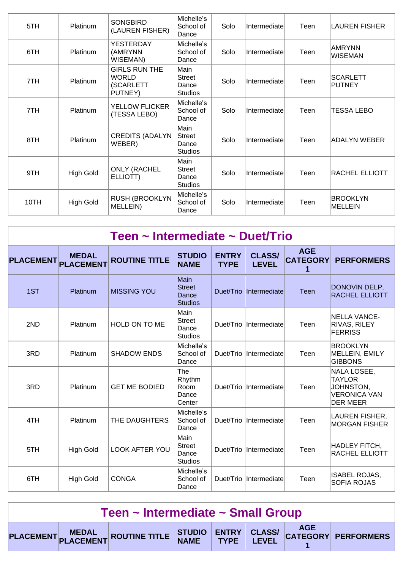| 5TH  | Platinum         | <b>SONGBIRD</b><br>(LAUREN FISHER)                           | Michelle's<br>School of<br>Dance          | Solo | Intermediate | Teen | <b>LAUREN FISHER</b>              |
|------|------------------|--------------------------------------------------------------|-------------------------------------------|------|--------------|------|-----------------------------------|
| 6TH  | Platinum         | <b>YESTERDAY</b><br>(AMRYNN<br>WISEMAN)                      | Michelle's<br>School of<br>Dance          | Solo | Intermediate | Teen | <b>AMRYNN</b><br><b>WISEMAN</b>   |
| 7TH  | Platinum         | <b>GIRLS RUN THE</b><br><b>WORLD</b><br>(SCARLETT<br>PUTNEY) | Main<br><b>Street</b><br>Dance<br>Studios | Solo | Intermediate | Teen | <b>SCARLETT</b><br><b>PUTNEY</b>  |
| 7TH  | Platinum         | <b>YELLOW FLICKER</b><br>(TESSA LEBO)                        | Michelle's<br>School of<br>Dance          | Solo | Intermediate | Teen | TESSA LEBO                        |
| 8TH  | Platinum         | <b>CREDITS (ADALYN</b><br>WEBER)                             | Main<br>Street<br>Dance<br><b>Studios</b> | Solo | Intermediate | Teen | ADALYN WEBER                      |
| 9TH  | <b>High Gold</b> | <b>ONLY (RACHEL</b><br>ELLIOTT)                              | Main<br><b>Street</b><br>Dance<br>Studios | Solo | Intermediate | Teen | <b>RACHEL ELLIOTT</b>             |
| 10TH | <b>High Gold</b> | <b>RUSH (BROOKLYN</b><br>MELLEIN)                            | Michelle's<br>School of<br>Dance          | Solo | Intermediate | Teen | <b>BROOKLYN</b><br><b>MELLEIN</b> |

| Teen ~ Intermediate ~ Duet/Trio |                                  |                       |                                                  |                             |                               |                                    |                                                                                     |  |  |  |
|---------------------------------|----------------------------------|-----------------------|--------------------------------------------------|-----------------------------|-------------------------------|------------------------------------|-------------------------------------------------------------------------------------|--|--|--|
| <b>PLACEMENT</b>                | <b>MEDAL</b><br><b>PLACEMENT</b> | <b>ROUTINE TITLE</b>  | <b>STUDIO</b><br><b>NAME</b>                     | <b>ENTRY</b><br><b>TYPE</b> | <b>CLASS/</b><br><b>LEVEL</b> | <b>AGE</b><br><b>CATEGORY</b><br>1 | <b>PERFORMERS</b>                                                                   |  |  |  |
| 1ST                             | Platinum                         | <b>MISSING YOU</b>    | Main<br><b>Street</b><br>Dance<br><b>Studios</b> |                             | Duet/Trio Intermediate        | Teen                               | DONOVIN DELP,<br><b>RACHEL ELLIOTT</b>                                              |  |  |  |
| 2ND                             | <b>Platinum</b>                  | <b>HOLD ON TO ME</b>  | Main<br><b>Street</b><br>Dance<br><b>Studios</b> |                             | Duet/Trio Intermediate        | Teen                               | <b>INELLA VANCE-</b><br><b>RIVAS, RILEY</b><br><b>FERRISS</b>                       |  |  |  |
| 3RD                             | <b>Platinum</b>                  | <b>SHADOW ENDS</b>    | Michelle's<br>School of<br>Dance                 |                             | Duet/Trio Intermediate        | Teen                               | <b>BROOKLYN</b><br>MELLEIN, EMILY<br><b>GIBBONS</b>                                 |  |  |  |
| 3RD                             | Platinum                         | <b>GET ME BODIED</b>  | The<br>Rhythm<br>Room<br>Dance<br>Center         | Duet/Trio                   | Intermediate                  | Teen                               | NALA LOSEE,<br><b>TAYLOR</b><br>JOHNSTON,<br><b>VERONICA VAN</b><br><b>DER MEER</b> |  |  |  |
| 4TH                             | Platinum                         | THE DAUGHTERS         | Michelle's<br>School of<br>Dance                 | Duet/Trio                   | Intermediate                  | Teen                               | LAUREN FISHER,<br><b>MORGAN FISHER</b>                                              |  |  |  |
| 5TH                             | <b>High Gold</b>                 | <b>LOOK AFTER YOU</b> | Main<br><b>Street</b><br>Dance<br><b>Studios</b> |                             | Duet/Trio Intermediate        | Teen                               | HADLEY FITCH,<br><b>RACHEL ELLIOTT</b>                                              |  |  |  |
| 6TH                             | <b>High Gold</b>                 | <b>CONGA</b>          | Michelle's<br>School of<br>Dance                 |                             | Duet/Trio Intermediate        | Teen                               | <b>ISABEL ROJAS,</b><br><b>SOFIA ROJAS</b>                                          |  |  |  |

| Teen ~ Intermediate ~ Small Group |  |                                                                       |  |  |  |  |  |  |  |
|-----------------------------------|--|-----------------------------------------------------------------------|--|--|--|--|--|--|--|
|                                   |  | PLACEMENT MEDAL ROUTINE TITLE STUDIO ENTRY CLASS/ CATEGORY PERFORMERS |  |  |  |  |  |  |  |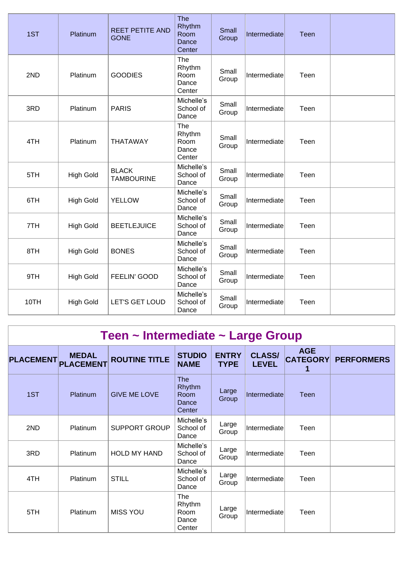| 1ST  | Platinum         | <b>REET PETITE AND</b><br><b>GONE</b> | <b>The</b><br>Rhythm<br>Room<br>Dance<br>Center | Small<br>Group | Intermediate | Teen |  |
|------|------------------|---------------------------------------|-------------------------------------------------|----------------|--------------|------|--|
| 2ND  | Platinum         | <b>GOODIES</b>                        | The<br>Rhythm<br>Room<br>Dance<br>Center        | Small<br>Group | Intermediate | Teen |  |
| 3RD  | Platinum         | <b>PARIS</b>                          | Michelle's<br>School of<br>Dance                | Small<br>Group | Intermediate | Teen |  |
| 4TH  | Platinum         | <b>THATAWAY</b>                       | The<br>Rhythm<br>Room<br>Dance<br>Center        | Small<br>Group | Intermediate | Teen |  |
| 5TH  | <b>High Gold</b> | <b>BLACK</b><br><b>TAMBOURINE</b>     | Michelle's<br>School of<br>Dance                | Small<br>Group | Intermediate | Teen |  |
| 6TH  | <b>High Gold</b> | <b>YELLOW</b>                         | Michelle's<br>School of<br>Dance                | Small<br>Group | Intermediate | Teen |  |
| 7TH  | <b>High Gold</b> | <b>BEETLEJUICE</b>                    | Michelle's<br>School of<br>Dance                | Small<br>Group | Intermediate | Teen |  |
| 8TH  | <b>High Gold</b> | <b>BONES</b>                          | Michelle's<br>School of<br>Dance                | Small<br>Group | Intermediate | Teen |  |
| 9TH  | <b>High Gold</b> | FEELIN' GOOD                          | Michelle's<br>School of<br>Dance                | Small<br>Group | Intermediate | Teen |  |
| 10TH | <b>High Gold</b> | LET'S GET LOUD                        | Michelle's<br>School of<br>Dance                | Small<br>Group | Intermediate | Teen |  |

| Teen $\sim$ Intermediate $\sim$ Large Group |                                  |                      |                                          |                             |                               |                               |                   |  |  |  |
|---------------------------------------------|----------------------------------|----------------------|------------------------------------------|-----------------------------|-------------------------------|-------------------------------|-------------------|--|--|--|
| <b>PLACEMENT</b>                            | <b>MEDAL</b><br><b>PLACEMENT</b> | <b>ROUTINE TITLE</b> | <b>STUDIO</b><br><b>NAME</b>             | <b>ENTRY</b><br><b>TYPE</b> | <b>CLASS/</b><br><b>LEVEL</b> | <b>AGE</b><br><b>CATEGORY</b> | <b>PERFORMERS</b> |  |  |  |
| 1ST                                         | Platinum                         | <b>GIVE ME LOVE</b>  | The<br>Rhythm<br>Room<br>Dance<br>Center | Large<br>Group              | Intermediate                  | Teen                          |                   |  |  |  |
| 2ND                                         | Platinum                         | <b>SUPPORT GROUP</b> | Michelle's<br>School of<br>Dance         | Large<br>Group              | Intermediate                  | Teen                          |                   |  |  |  |
| 3RD                                         | Platinum                         | <b>HOLD MY HAND</b>  | Michelle's<br>School of<br>Dance         | Large<br>Group              | Intermediate                  | Teen                          |                   |  |  |  |
| 4TH                                         | Platinum                         | <b>STILL</b>         | Michelle's<br>School of<br>Dance         | Large<br>Group              | Intermediate                  | Teen                          |                   |  |  |  |
| 5TH                                         | Platinum                         | <b>MISS YOU</b>      | The<br>Rhythm<br>Room<br>Dance<br>Center | Large<br>Group              | Intermediate                  | Teen                          |                   |  |  |  |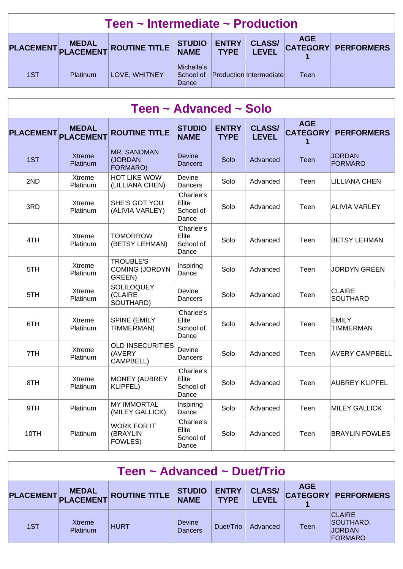| Teen $\sim$ Intermediate $\sim$ Production |          |                               |                                  |                             |                                |            |                     |  |  |
|--------------------------------------------|----------|-------------------------------|----------------------------------|-----------------------------|--------------------------------|------------|---------------------|--|--|
|                                            |          | PLACEMENT MEDAL ROUTINE TITLE | <b>STUDIO<br/>NAME</b>           | <b>ENTRY</b><br><b>TYPE</b> | <b>CLASS/</b><br><b>LEVEL</b>  | <b>AGE</b> | CATEGORY PERFORMERS |  |  |
| 1ST                                        | Platinum | LOVE, WHITNEY                 | Michelle's<br>School of<br>Dance |                             | <b>Production Intermediate</b> | Teen       |                     |  |  |

| Teen ~ Advanced ~ Solo |                                  |                                                     |                                           |                             |                               |                                    |                                  |  |  |  |
|------------------------|----------------------------------|-----------------------------------------------------|-------------------------------------------|-----------------------------|-------------------------------|------------------------------------|----------------------------------|--|--|--|
| <b>PLACEMENT</b>       | <b>MEDAL</b><br><b>PLACEMENT</b> | <b>ROUTINE TITLE</b>                                | <b>STUDIO</b><br><b>NAME</b>              | <b>ENTRY</b><br><b>TYPE</b> | <b>CLASS/</b><br><b>LEVEL</b> | <b>AGE</b><br><b>CATEGORY</b><br>1 | <b>PERFORMERS</b>                |  |  |  |
| 1ST                    | <b>Xtreme</b><br>Platinum        | MR. SANDMAN<br>(JORDAN<br>FORMARO)                  | Devine<br>Dancers                         | Solo                        | Advanced                      | Teen                               | <b>JORDAN</b><br>FORMARO         |  |  |  |
| 2ND                    | Xtreme<br>Platinum               | <b>HOT LIKE WOW</b><br>(LILLIANA CHEN)              | Devine<br>Dancers                         | Solo                        | Advanced                      | Teen                               | <b>LILLIANA CHEN</b>             |  |  |  |
| 3RD                    | Xtreme<br>Platinum               | SHE'S GOT YOU<br>(ALIVIA VARLEY)                    | 'Charlee's<br>Elite<br>School of<br>Dance | Solo                        | Advanced                      | Teen                               | ALIVIA VARLEY                    |  |  |  |
| 4TH                    | Xtreme<br>Platinum               | <b>TOMORROW</b><br>(BETSY LEHMAN)                   | 'Charlee's<br>Elite<br>School of<br>Dance | Solo                        | Advanced                      | Teen                               | <b>BETSY LEHMAN</b>              |  |  |  |
| 5TH                    | Xtreme<br>Platinum               | <b>TROUBLE'S</b><br><b>COMING (JORDYN</b><br>GREEN) | Inspiring<br>Dance                        | Solo                        | Advanced                      | Teen                               | <b>JORDYN GREEN</b>              |  |  |  |
| 5TH                    | Xtreme<br>Platinum               | <b>SOLILOQUEY</b><br>(CLAIRE<br>SOUTHARD)           | Devine<br>Dancers                         | Solo                        | Advanced                      | Teen                               | CLAIRE<br><b>SOUTHARD</b>        |  |  |  |
| 6TH                    | Xtreme<br>Platinum               | <b>SPINE (EMILY</b><br>TIMMERMAN)                   | 'Charlee's<br>Elite<br>School of<br>Dance | Solo                        | Advanced                      | Teen                               | <b>EMILY</b><br><b>TIMMERMAN</b> |  |  |  |
| 7TH                    | Xtreme<br>Platinum               | <b>OLD INSECURITIES</b><br>(AVERY<br>CAMPBELL)      | Devine<br>Dancers                         | Solo                        | Advanced                      | Teen                               | <b>AVERY CAMPBELL</b>            |  |  |  |
| 8TH                    | Xtreme<br>Platinum               | <b>MONEY (AUBREY</b><br><b>KLIPFEL)</b>             | 'Charlee's<br>Elite<br>School of<br>Dance | Solo                        | Advanced                      | Teen                               | <b>AUBREY KLIPFEL</b>            |  |  |  |
| 9TH                    | Platinum                         | <b>MY IMMORTAL</b><br>(MILEY GALLICK)               | Inspiring<br>Dance                        | Solo                        | Advanced                      | Teen                               | <b>MILEY GALLICK</b>             |  |  |  |
| 10TH                   | Platinum                         | <b>WORK FOR IT</b><br>(BRAYLIN<br>FOWLES)           | 'Charlee's<br>Elite<br>School of<br>Dance | Solo                        | Advanced                      | Teen                               | <b>BRAYLIN FOWLES</b>            |  |  |  |

| Teen ~ Advanced ~ Duet/Trio |                           |                               |                                 |                             |                               |            |                                                        |  |  |  |
|-----------------------------|---------------------------|-------------------------------|---------------------------------|-----------------------------|-------------------------------|------------|--------------------------------------------------------|--|--|--|
|                             |                           | PLACEMENT MEDAL ROUTINE TITLE | <b>STUDIO</b><br><b>NAME</b>    | <b>ENTRY</b><br><b>TYPE</b> | <b>CLASS/</b><br><b>LEVEL</b> | <b>AGE</b> | <b>CATEGORY PERFORMERS</b>                             |  |  |  |
| 1ST                         | Xtreme<br><b>Platinum</b> | <b>HURT</b>                   | <b>Devine</b><br><b>Dancers</b> | Duet/Trio                   | Advanced                      | Teen       | <b>CLAIRE</b><br>SOUTHARD,<br><b>JORDAN</b><br>FORMARO |  |  |  |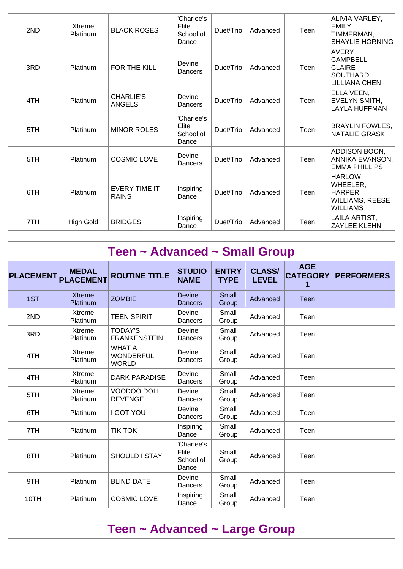| 2ND | Xtreme<br>Platinum | <b>BLACK ROSES</b>                   | 'Charlee's<br>Elite<br>School of<br>Dance | Duet/Trio | Advanced | Teen | ALIVIA VARLEY,<br><b>EMILY</b><br>TIMMERMAN,<br><b>SHAYLIE HORNING</b>           |
|-----|--------------------|--------------------------------------|-------------------------------------------|-----------|----------|------|----------------------------------------------------------------------------------|
| 3RD | Platinum           | FOR THE KILL                         | Devine<br>Dancers                         | Duet/Trio | Advanced | Teen | <b>AVERY</b><br>CAMPBELL,<br><b>CLAIRE</b><br>SOUTHARD,<br><b>LILLIANA CHEN</b>  |
| 4TH | Platinum           | <b>CHARLIE'S</b><br><b>ANGELS</b>    | Devine<br>Dancers                         | Duet/Trio | Advanced | Teen | ELLA VEEN,<br>EVELYN SMITH,<br>LAYLA HUFFMAN                                     |
| 5TH | Platinum           | <b>MINOR ROLES</b>                   | 'Charlee's<br>Elite<br>School of<br>Dance | Duet/Trio | Advanced | Teen | <b>BRAYLIN FOWLES,</b><br>NATALIE GRASK                                          |
| 5TH | Platinum           | <b>COSMIC LOVE</b>                   | Devine<br>Dancers                         | Duet/Trio | Advanced | Teen | ADDISON BOON,<br>ANNIKA EVANSON,<br><b>EMMA PHILLIPS</b>                         |
| 6TH | Platinum           | <b>EVERY TIME IT</b><br><b>RAINS</b> | Inspiring<br>Dance                        | Duet/Trio | Advanced | Teen | <b>HARLOW</b><br>WHEELER,<br><b>HARPER</b><br>WILLIAMS, REESE<br><b>WILLIAMS</b> |
| 7TH | <b>High Gold</b>   | <b>BRIDGES</b>                       | Inspiring<br>Dance                        | Duet/Trio | Advanced | Teen | LAILA ARTIST,<br><b>ZAYLEE KLEHN</b>                                             |

| Teen ~ Advanced ~ Small Group |                                  |                                                   |                                           |                             |                               |                               |                   |  |  |  |  |
|-------------------------------|----------------------------------|---------------------------------------------------|-------------------------------------------|-----------------------------|-------------------------------|-------------------------------|-------------------|--|--|--|--|
| <b>PLACEMENT</b>              | <b>MEDAL</b><br><b>PLACEMENT</b> | <b>ROUTINE TITLE</b>                              | <b>STUDIO</b><br><b>NAME</b>              | <b>ENTRY</b><br><b>TYPE</b> | <b>CLASS/</b><br><b>LEVEL</b> | <b>AGE</b><br><b>CATEGORY</b> | <b>PERFORMERS</b> |  |  |  |  |
| 1ST                           | <b>Xtreme</b><br>Platinum        | <b>ZOMBIE</b>                                     | <b>Devine</b><br><b>Dancers</b>           | <b>Small</b><br>Group       | Advanced                      | Teen                          |                   |  |  |  |  |
| 2ND                           | Xtreme<br>Platinum               | <b>TEEN SPIRIT</b>                                | Devine<br>Dancers                         | Small<br>Group              | Advanced                      | Teen                          |                   |  |  |  |  |
| 3RD                           | Xtreme<br>Platinum               | <b>TODAY'S</b><br><b>FRANKENSTEIN</b>             | Devine<br>Dancers                         | Small<br>Group              | Advanced                      | Teen                          |                   |  |  |  |  |
| 4TH                           | Xtreme<br>Platinum               | <b>WHAT A</b><br><b>WONDERFUL</b><br><b>WORLD</b> | Devine<br>Dancers                         | Small<br>Group              | Advanced                      | Teen                          |                   |  |  |  |  |
| 4TH                           | Xtreme<br>Platinum               | <b>DARK PARADISE</b>                              | Devine<br>Dancers                         | Small<br>Group              | Advanced                      | Teen                          |                   |  |  |  |  |
| 5TH                           | Xtreme<br>Platinum               | VOODOO DOLL<br><b>REVENGE</b>                     | Devine<br>Dancers                         | Small<br>Group              | Advanced                      | Teen                          |                   |  |  |  |  |
| 6TH                           | Platinum                         | <b>I GOT YOU</b>                                  | Devine<br>Dancers                         | Small<br>Group              | Advanced                      | Teen                          |                   |  |  |  |  |
| 7TH                           | Platinum                         | <b>TIK TOK</b>                                    | Inspiring<br>Dance                        | Small<br>Group              | Advanced                      | Teen                          |                   |  |  |  |  |
| 8TH                           | Platinum                         | <b>SHOULD I STAY</b>                              | 'Charlee's<br>Elite<br>School of<br>Dance | Small<br>Group              | Advanced                      | Teen                          |                   |  |  |  |  |
| 9TH                           | Platinum                         | <b>BLIND DATE</b>                                 | Devine<br>Dancers                         | Small<br>Group              | Advanced                      | Teen                          |                   |  |  |  |  |
| 10TH                          | Platinum                         | <b>COSMIC LOVE</b>                                | Inspiring<br>Dance                        | Small<br>Group              | Advanced                      | Teen                          |                   |  |  |  |  |

## **Teen ~ Advanced ~ Large Group**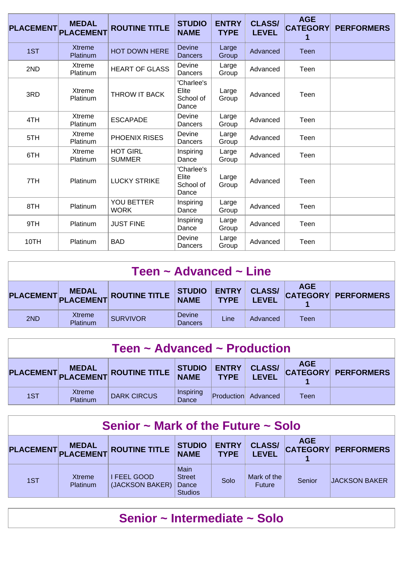| <b>PLACEMENT</b> | <b>MEDAL</b><br><b>PLACEMENT</b> | <b>ROUTINE TITLE</b>             | <b>STUDIO</b><br><b>NAME</b>              | <b>ENTRY</b><br><b>TYPE</b> | <b>CLASS/</b><br><b>LEVEL</b> | <b>AGE</b><br><b>CATEGORY</b><br>1 | <b>PERFORMERS</b> |
|------------------|----------------------------------|----------------------------------|-------------------------------------------|-----------------------------|-------------------------------|------------------------------------|-------------------|
| 1ST              | <b>Xtreme</b><br>Platinum        | <b>HOT DOWN HERE</b>             | <b>Devine</b><br><b>Dancers</b>           | Large<br>Group              | Advanced                      | <b>Teen</b>                        |                   |
| 2ND              | Xtreme<br>Platinum               | <b>HEART OF GLASS</b>            | Devine<br>Dancers                         | Large<br>Group              | Advanced                      | Teen                               |                   |
| 3RD              | Xtreme<br>Platinum               | THROW IT BACK                    | 'Charlee's<br>Elite<br>School of<br>Dance | Large<br>Group              | Advanced                      | Teen                               |                   |
| 4TH              | Xtreme<br>Platinum               | <b>ESCAPADE</b>                  | Devine<br>Dancers                         | Large<br>Group              | Advanced                      | Teen                               |                   |
| 5TH              | <b>Xtreme</b><br>Platinum        | PHOENIX RISES                    | Devine<br>Dancers                         | Large<br>Group              | Advanced                      | Teen                               |                   |
| 6TH              | Xtreme<br>Platinum               | <b>HOT GIRL</b><br><b>SUMMER</b> | Inspiring<br>Dance                        | Large<br>Group              | Advanced                      | Teen                               |                   |
| 7TH              | Platinum                         | <b>LUCKY STRIKE</b>              | 'Charlee's<br>Elite<br>School of<br>Dance | Large<br>Group              | Advanced                      | Teen                               |                   |
| 8TH              | Platinum                         | <b>YOU BETTER</b><br><b>WORK</b> | Inspiring<br>Dance                        | Large<br>Group              | Advanced                      | Teen                               |                   |
| 9TH              | Platinum                         | <b>JUST FINE</b>                 | Inspiring<br>Dance                        | Large<br>Group              | Advanced                      | Teen                               |                   |
| 10TH             | Platinum                         | <b>BAD</b>                       | Devine<br>Dancers                         | Large<br>Group              | Advanced                      | Teen                               |                   |

| Teen $\sim$ Advanced $\sim$ Line                                                                                                                                       |                    |                 |                                 |      |          |      |  |  |  |
|------------------------------------------------------------------------------------------------------------------------------------------------------------------------|--------------------|-----------------|---------------------------------|------|----------|------|--|--|--|
| <b>AGE</b><br><b>CLASS/</b><br><b>ENTRY</b><br><b>STUDIO<br/>NAME</b><br>PLACEMENT MEDAL<br>CATEGORY PERFORMERS<br><b>ROUTINE TITLE</b><br><b>TYPE</b><br><b>LEVEL</b> |                    |                 |                                 |      |          |      |  |  |  |
| 2ND                                                                                                                                                                    | Xtreme<br>Platinum | <b>SURVIVOR</b> | <b>Devine</b><br><b>Dancers</b> | Line | Advanced | Teen |  |  |  |

| Teen $\sim$ Advanced $\sim$ Production |                    |                               |                    |                             |                               |            |                            |  |  |
|----------------------------------------|--------------------|-------------------------------|--------------------|-----------------------------|-------------------------------|------------|----------------------------|--|--|
|                                        |                    | PLACEMENT MEDAL ROUTINE TITLE | STUDIO<br>NAME     | <b>ENTRY</b><br><b>TYPE</b> | <b>CLASS/</b><br><b>LEVEL</b> | <b>AGE</b> | <b>CATEGORY PERFORMERS</b> |  |  |
| 1ST                                    | Xtreme<br>Platinum | <b>DARK CIRCUS</b>            | Inspiring<br>Dance | <b>Production</b>           | Advanced                      | Teen       |                            |  |  |

| Senior $\sim$ Mark of the Future $\sim$ Solo |                                     |                                |                                                  |                             |                               |            |                            |  |  |
|----------------------------------------------|-------------------------------------|--------------------------------|--------------------------------------------------|-----------------------------|-------------------------------|------------|----------------------------|--|--|
|                                              | <b>MEDAL</b><br>PLACEMENT PLACEMENT | <b>ROUTINE TITLE</b>           | <b>STUDIO</b><br><b>NAME</b>                     | <b>ENTRY</b><br><b>TYPE</b> | <b>CLASS/</b><br><b>LEVEL</b> | <b>AGE</b> | <b>CATEGORY PERFORMERS</b> |  |  |
| 1ST                                          | Xtreme<br><b>Platinum</b>           | I FEEL GOOD<br>(JACKSON BAKER) | Main<br><b>Street</b><br>Dance<br><b>Studios</b> | Solo                        | Mark of the<br><b>Future</b>  | Senior     | <b>JACKSON BAKER</b>       |  |  |

### **Senior ~ Intermediate ~ Solo**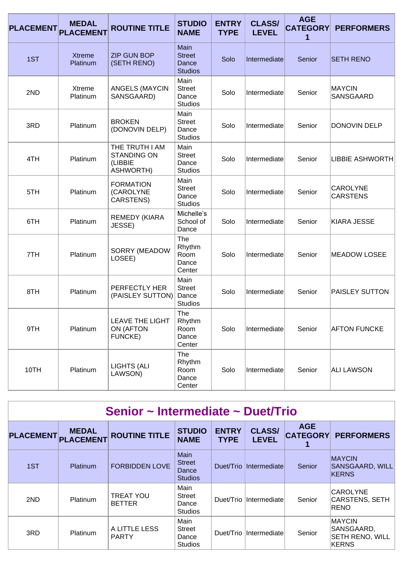| <b>PLACEMENT</b> | <b>MEDAL</b><br><b>PLACEMENT</b> | <b>ROUTINE TITLE</b>                                                | <b>STUDIO</b><br><b>NAME</b>                     | <b>ENTRY</b><br><b>TYPE</b> | <b>CLASS/</b><br><b>LEVEL</b> | <b>AGE</b><br><b>CATEGORY</b><br>1 | <b>PERFORMERS</b>                  |
|------------------|----------------------------------|---------------------------------------------------------------------|--------------------------------------------------|-----------------------------|-------------------------------|------------------------------------|------------------------------------|
| 1ST              | <b>Xtreme</b><br>Platinum        | <b>ZIP GUN BOP</b><br>(SETH RENO)                                   | Main<br><b>Street</b><br>Dance<br><b>Studios</b> | Solo                        | Intermediate                  | Senior                             | <b>SETH RENO</b>                   |
| 2ND              | Xtreme<br>Platinum               | <b>ANGELS (MAYCIN</b><br>SANSGAARD)                                 | Main<br><b>Street</b><br>Dance<br><b>Studios</b> | Solo                        | Intermediate                  | Senior                             | <b>MAYCIN</b><br>SANSGAARD         |
| 3RD              | Platinum                         | <b>BROKEN</b><br>(DONOVIN DELP)                                     | Main<br><b>Street</b><br>Dance<br><b>Studios</b> | Solo                        | Intermediate                  | Senior                             | DONOVIN DELP                       |
| 4TH              | Platinum                         | THE TRUTH I AM<br><b>STANDING ON</b><br>(LIBBIE<br><b>ASHWORTH)</b> | Main<br><b>Street</b><br>Dance<br><b>Studios</b> | Solo                        | Intermediate                  | Senior                             | <b>LIBBIE ASHWORTH</b>             |
| 5TH              | Platinum                         | <b>FORMATION</b><br>(CAROLYNE<br>CARSTENS)                          | Main<br><b>Street</b><br>Dance<br><b>Studios</b> | Solo                        | Intermediate                  | Senior                             | <b>CAROLYNE</b><br><b>CARSTENS</b> |
| 6TH              | Platinum                         | <b>REMEDY (KIARA</b><br>JESSE)                                      | Michelle's<br>School of<br>Dance                 | Solo                        | Intermediate                  | Senior                             | KIARA JESSE                        |
| 7TH              | Platinum                         | SORRY (MEADOW<br>LOSEE)                                             | The<br>Rhythm<br>Room<br>Dance<br>Center         | Solo                        | Intermediate                  | Senior                             | <b>IMEADOW LOSEE</b>               |
| 8TH              | Platinum                         | PERFECTLY HER<br>(PAISLEY SUTTON)                                   | Main<br><b>Street</b><br>Dance<br><b>Studios</b> | Solo                        | Intermediate                  | Senior                             | <b>PAISLEY SUTTON</b>              |
| 9TH              | Platinum                         | <b>LEAVE THE LIGHT</b><br>ON (AFTON<br><b>FUNCKE)</b>               | The<br>Rhythm<br>Room<br>Dance<br>Center         | Solo                        | Intermediate                  | Senior                             | <b>AFTON FUNCKE</b>                |
| 10TH             | Platinum                         | <b>LIGHTS (ALI</b><br>LAWSON)                                       | The<br>Rhythm<br>Room<br>Dance<br>Center         | Solo                        | Intermediate                  | Senior                             | <b>ALI LAWSON</b>                  |

| Senior ~ Intermediate ~ Duet/Trio |                                  |                                   |                                                         |                             |                               |                                    |                                                                |  |  |  |  |
|-----------------------------------|----------------------------------|-----------------------------------|---------------------------------------------------------|-----------------------------|-------------------------------|------------------------------------|----------------------------------------------------------------|--|--|--|--|
| <b>PLACEMENT</b>                  | <b>MEDAL</b><br><b>PLACEMENT</b> | <b>ROUTINE TITLE</b>              | <b>STUDIO</b><br><b>NAME</b>                            | <b>ENTRY</b><br><b>TYPE</b> | <b>CLASS/</b><br><b>LEVEL</b> | <b>AGE</b><br><b>CATEGORY</b><br>1 | <b>PERFORMERS</b>                                              |  |  |  |  |
| 1ST                               | <b>Platinum</b>                  | <b>FORBIDDEN LOVE</b>             | <b>Main</b><br><b>Street</b><br>Dance<br><b>Studios</b> | Duet/Trio                   | <i>Intermediatel</i>          | Senior                             | <b>MAYCIN</b><br>SANSGAARD, WILL<br>KERNS                      |  |  |  |  |
| 2ND                               | <b>Platinum</b>                  | <b>TREAT YOU</b><br><b>BETTER</b> | Main<br>Street<br>Dance<br><b>Studios</b>               | Duet/Trio                   | Intermediate                  | Senior                             | <b>CAROLYNE</b><br>CARSTENS, SETH<br>RENO                      |  |  |  |  |
| 3RD                               | Platinum                         | A LITTLE LESS<br><b>PARTY</b>     | Main<br><b>Street</b><br>Dance<br><b>Studios</b>        | Duet/Trio                   | Intermediate                  | Senior                             | <b>MAYCIN</b><br>SANSGAARD,<br><b>SETH RENO, WILL</b><br>KERNS |  |  |  |  |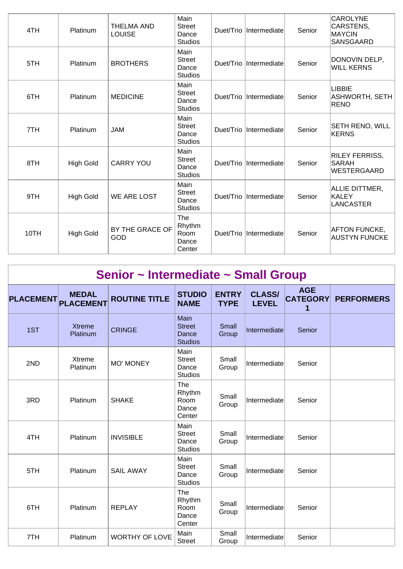| 4TH  | Platinum         | <b>THELMA AND</b><br><b>LOUISE</b> | Main<br><b>Street</b><br>Dance<br><b>Studios</b> |           | Duet/Trio   Intermediate | Senior | <b>CAROLYNE</b><br>CARSTENS,<br><b>MAYCIN</b><br>SANSGAARD |
|------|------------------|------------------------------------|--------------------------------------------------|-----------|--------------------------|--------|------------------------------------------------------------|
| 5TH  | Platinum         | <b>BROTHERS</b>                    | Main<br><b>Street</b><br>Dance<br><b>Studios</b> |           | Duet/Trio  Intermediate  | Senior | DONOVIN DELP,<br><b>WILL KERNS</b>                         |
| 6TH  | Platinum         | <b>MEDICINE</b>                    | Main<br><b>Street</b><br>Dance<br><b>Studios</b> | Duet/Trio | Intermediate             | Senior | <b>LIBBIE</b><br>ASHWORTH, SETH<br><b>RENO</b>             |
| 7TH  | Platinum         | <b>JAM</b>                         | Main<br><b>Street</b><br>Dance<br><b>Studios</b> |           | Duet/Trio Intermediate   | Senior | SETH RENO, WILL<br>KERNS                                   |
| 8TH  | <b>High Gold</b> | <b>CARRY YOU</b>                   | Main<br><b>Street</b><br>Dance<br><b>Studios</b> | Duet/Trio | Intermediate             | Senior | <b>RILEY FERRISS,</b><br><b>SARAH</b><br>WESTERGAARD       |
| 9TH  | <b>High Gold</b> | <b>WE ARE LOST</b>                 | Main<br><b>Street</b><br>Dance<br><b>Studios</b> | Duet/Trio | Intermediate             | Senior | ALLIE DITTMER,<br>KALEY<br>LANCASTER                       |
| 10TH | <b>High Gold</b> | BY THE GRACE OF<br>GOD             | The<br>Rhythm<br>Room<br>Dance<br>Center         |           | Duet/Trio Intermediate   | Senior | <b>AFTON FUNCKE,</b><br><b>AUSTYN FUNCKE</b>               |

|                  |                                  | Senior ~ Intermediate ~ Small Group |                                                  |                             |                               |                                    |                   |
|------------------|----------------------------------|-------------------------------------|--------------------------------------------------|-----------------------------|-------------------------------|------------------------------------|-------------------|
| <b>PLACEMENT</b> | <b>MEDAL</b><br><b>PLACEMENT</b> | <b>ROUTINE TITLE</b>                | <b>STUDIO</b><br><b>NAME</b>                     | <b>ENTRY</b><br><b>TYPE</b> | <b>CLASS/</b><br><b>LEVEL</b> | <b>AGE</b><br><b>CATEGORY</b><br>1 | <b>PERFORMERS</b> |
| 1ST              | <b>Xtreme</b><br><b>Platinum</b> | <b>CRINGE</b>                       | Main<br><b>Street</b><br>Dance<br><b>Studios</b> | Small<br>Group              | Intermediate                  | Senior                             |                   |
| 2ND              | Xtreme<br>Platinum               | <b>MO' MONEY</b>                    | Main<br><b>Street</b><br>Dance<br><b>Studios</b> | Small<br>Group              | Intermediate                  | Senior                             |                   |
| 3RD              | Platinum                         | <b>SHAKE</b>                        | The<br>Rhythm<br>Room<br>Dance<br>Center         | Small<br>Group              | Intermediate                  | Senior                             |                   |
| 4TH              | Platinum                         | <b>INVISIBLE</b>                    | Main<br><b>Street</b><br>Dance<br><b>Studios</b> | Small<br>Group              | Intermediate                  | Senior                             |                   |
| 5TH              | Platinum                         | <b>SAIL AWAY</b>                    | Main<br><b>Street</b><br>Dance<br><b>Studios</b> | Small<br>Group              | Intermediate                  | Senior                             |                   |
| 6TH              | Platinum                         | <b>REPLAY</b>                       | The<br>Rhythm<br>Room<br>Dance<br>Center         | Small<br>Group              | Intermediate                  | Senior                             |                   |
| 7TH              | Platinum                         | <b>WORTHY OF LOVE</b>               | Main<br><b>Street</b>                            | Small<br>Group              | Intermediate                  | Senior                             |                   |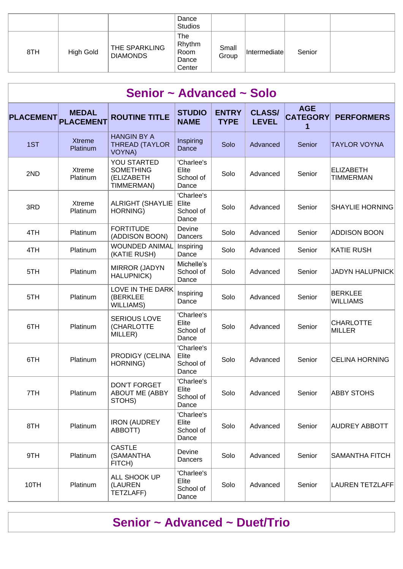|     |           |                                  | Dance<br><b>Studios</b>                  |                |              |        |  |
|-----|-----------|----------------------------------|------------------------------------------|----------------|--------------|--------|--|
| 8TH | High Gold | THE SPARKLING<br><b>DIAMONDS</b> | The<br>Rhythm<br>Room<br>Dance<br>Center | Small<br>Group | Intermediate | Senior |  |

| Senior ~ Advanced ~ Solo |                                  |                                                              |                                           |                             |                               |                               |                                      |  |  |  |  |
|--------------------------|----------------------------------|--------------------------------------------------------------|-------------------------------------------|-----------------------------|-------------------------------|-------------------------------|--------------------------------------|--|--|--|--|
| <b>PLACEMENT</b>         | <b>MEDAL</b><br><b>PLACEMENT</b> | <b>ROUTINE TITLE</b>                                         | <b>STUDIO</b><br><b>NAME</b>              | <b>ENTRY</b><br><b>TYPE</b> | <b>CLASS/</b><br><b>LEVEL</b> | <b>AGE</b><br><b>CATEGORY</b> | <b>PERFORMERS</b>                    |  |  |  |  |
| 1ST                      | <b>Xtreme</b><br>Platinum        | <b>HANGIN BY A</b><br><b>THREAD (TAYLOR</b><br><b>VOYNA)</b> | Inspiring<br>Dance                        | Solo                        | Advanced                      | Senior                        | <b>TAYLOR VOYNA</b>                  |  |  |  |  |
| 2ND                      | Xtreme<br>Platinum               | YOU STARTED<br><b>SOMETHING</b><br>(ELIZABETH<br>TIMMERMAN)  | 'Charlee's<br>Elite<br>School of<br>Dance | Solo                        | Advanced                      | Senior                        | <b>ELIZABETH</b><br><b>TIMMERMAN</b> |  |  |  |  |
| 3RD                      | Xtreme<br>Platinum               | <b>ALRIGHT (SHAYLIE</b><br><b>HORNING)</b>                   | 'Charlee's<br>Elite<br>School of<br>Dance | Solo                        | Advanced                      | Senior                        | <b>SHAYLIE HORNING</b>               |  |  |  |  |
| 4TH                      | Platinum                         | <b>FORTITUDE</b><br>(ADDISON BOON)                           | Devine<br>Dancers                         | Solo                        | Advanced                      | Senior                        | <b>ADDISON BOON</b>                  |  |  |  |  |
| 4TH                      | Platinum                         | <b>WOUNDED ANIMAL</b><br>(KATIE RUSH)                        | Inspiring<br>Dance                        | Solo                        | Advanced                      | Senior                        | <b>KATIE RUSH</b>                    |  |  |  |  |
| 5TH                      | Platinum                         | <b>MIRROR (JADYN</b><br><b>HALUPNICK)</b>                    | Michelle's<br>School of<br>Dance          | Solo                        | Advanced                      | Senior                        | <b>JADYN HALUPNICK</b>               |  |  |  |  |
| 5TH                      | Platinum                         | LOVE IN THE DARK<br>(BERKLEE<br><b>WILLIAMS)</b>             | Inspiring<br>Dance                        | Solo                        | Advanced                      | Senior                        | BERKLEE<br><b>WILLIAMS</b>           |  |  |  |  |
| 6TH                      | Platinum                         | <b>SERIOUS LOVE</b><br>(CHARLOTTE<br>MILLER)                 | 'Charlee's<br>Elite<br>School of<br>Dance | Solo                        | Advanced                      | Senior                        | <b>CHARLOTTE</b><br>MILLER           |  |  |  |  |
| 6TH                      | Platinum                         | PRODIGY (CELINA<br>HORNING)                                  | 'Charlee's<br>Elite<br>School of<br>Dance | Solo                        | Advanced                      | Senior                        | <b>CELINA HORNING</b>                |  |  |  |  |
| 7TH                      | Platinum                         | <b>DON'T FORGET</b><br><b>ABOUT ME (ABBY</b><br>STOHS)       | 'Charlee's<br>Elite<br>School of<br>Dance | Solo                        | Advanced                      | Senior                        | <b>ABBY STOHS</b>                    |  |  |  |  |
| 8TH                      | Platinum                         | <b>IRON (AUDREY</b><br>ABBOTT)                               | 'Charlee's<br>Elite<br>School of<br>Dance | Solo                        | Advanced                      | Senior                        | <b>AUDREY ABBOTT</b>                 |  |  |  |  |
| 9TH                      | Platinum                         | <b>CASTLE</b><br>(SAMANTHA<br>FITCH)                         | Devine<br>Dancers                         | Solo                        | Advanced                      | Senior                        | SAMANTHA FITCH                       |  |  |  |  |
| 10TH                     | Platinum                         | ALL SHOOK UP<br>(LAUREN<br>TETZLAFF)                         | 'Charlee's<br>Elite<br>School of<br>Dance | Solo                        | Advanced                      | Senior                        | <b>LAUREN TETZLAFF</b>               |  |  |  |  |

### **Senior ~ Advanced ~ Duet/Trio**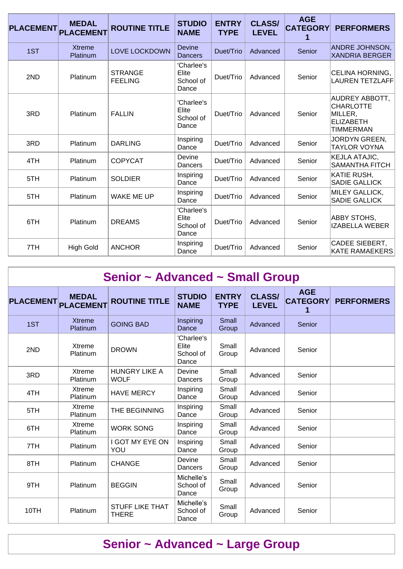| <b>PLACEMENT</b> | <b>MEDAL</b><br><b>PLACEMENT</b> | <b>ROUTINE TITLE</b>             | <b>STUDIO</b><br><b>NAME</b>              | <b>ENTRY</b><br><b>TYPE</b> | <b>CLASS/</b><br><b>LEVEL</b> | <b>AGE</b><br><b>CATEGORY</b> | <b>PERFORMERS</b>                                                                            |
|------------------|----------------------------------|----------------------------------|-------------------------------------------|-----------------------------|-------------------------------|-------------------------------|----------------------------------------------------------------------------------------------|
| 1ST              | <b>Xtreme</b><br>Platinum        | <b>LOVE LOCKDOWN</b>             | <b>Devine</b><br><b>Dancers</b>           | Duet/Trio                   | Advanced                      | Senior                        | <b>ANDRE JOHNSON,</b><br><b>XANDRIA BERGER</b>                                               |
| 2ND              | Platinum                         | <b>STRANGE</b><br><b>FEELING</b> | 'Charlee's<br>Elite<br>School of<br>Dance | Duet/Trio                   | Advanced                      | Senior                        | CELINA HORNING,<br><b>LAUREN TETZLAFF</b>                                                    |
| 3RD              | Platinum                         | <b>FALLIN</b>                    | 'Charlee's<br>Elite<br>School of<br>Dance | Duet/Trio                   | Advanced                      | Senior                        | <b>AUDREY ABBOTT,</b><br><b>CHARLOTTE</b><br>MILLER,<br><b>ELIZABETH</b><br><b>TIMMERMAN</b> |
| 3RD              | Platinum                         | <b>DARLING</b>                   | Inspiring<br>Dance                        | Duet/Trio                   | Advanced                      | Senior                        | <b>JORDYN GREEN,</b><br><b>TAYLOR VOYNA</b>                                                  |
| 4TH              | Platinum                         | <b>COPYCAT</b>                   | Devine<br>Dancers                         | Duet/Trio                   | Advanced                      | Senior                        | <b>KEJLA ATAJIC,</b><br><b>SAMANTHA FITCH</b>                                                |
| 5TH              | Platinum                         | <b>SOLDIER</b>                   | Inspiring<br>Dance                        | Duet/Trio                   | Advanced                      | Senior                        | KATIE RUSH,<br><b>SADIE GALLICK</b>                                                          |
| 5TH              | Platinum                         | <b>WAKE ME UP</b>                | Inspiring<br>Dance                        | Duet/Trio                   | Advanced                      | Senior                        | <b>MILEY GALLICK,</b><br><b>SADIE GALLICK</b>                                                |
| 6TH              | Platinum                         | <b>DREAMS</b>                    | 'Charlee's<br>Elite<br>School of<br>Dance | Duet/Trio                   | Advanced                      | Senior                        | ABBY STOHS,<br><b>IZABELLA WEBER</b>                                                         |
| 7TH              | <b>High Gold</b>                 | <b>ANCHOR</b>                    | Inspiring<br>Dance                        | Duet/Trio                   | Advanced                      | Senior                        | CADEE SIEBERT,<br><b>KATE RAMAEKERS</b>                                                      |

| Senior ~ Advanced ~ Small Group |                                  |                                        |                                           |                             |                               |                               |                   |  |
|---------------------------------|----------------------------------|----------------------------------------|-------------------------------------------|-----------------------------|-------------------------------|-------------------------------|-------------------|--|
| <b>PLACEMENT</b>                | <b>MEDAL</b><br><b>PLACEMENT</b> | <b>ROUTINE TITLE</b>                   | <b>STUDIO</b><br><b>NAME</b>              | <b>ENTRY</b><br><b>TYPE</b> | <b>CLASS/</b><br><b>LEVEL</b> | <b>AGE</b><br><b>CATEGORY</b> | <b>PERFORMERS</b> |  |
| 1ST                             | <b>Xtreme</b><br>Platinum        | <b>GOING BAD</b>                       | Inspiring<br>Dance                        | Small<br>Group              | Advanced                      | Senior                        |                   |  |
| 2ND                             | Xtreme<br>Platinum               | <b>DROWN</b>                           | 'Charlee's<br>Elite<br>School of<br>Dance | Small<br>Group              | Advanced                      | Senior                        |                   |  |
| 3RD                             | Xtreme<br>Platinum               | <b>HUNGRY LIKE A</b><br><b>WOLF</b>    | Devine<br>Dancers                         | Small<br>Group              | Advanced                      | Senior                        |                   |  |
| 4TH                             | Xtreme<br>Platinum               | <b>HAVE MERCY</b>                      | Inspiring<br>Dance                        | Small<br>Group              | Advanced                      | Senior                        |                   |  |
| 5TH                             | Xtreme<br>Platinum               | THE BEGINNING                          | Inspiring<br>Dance                        | Small<br>Group              | Advanced                      | Senior                        |                   |  |
| 6TH                             | Xtreme<br>Platinum               | <b>WORK SONG</b>                       | Inspiring<br>Dance                        | Small<br>Group              | Advanced                      | Senior                        |                   |  |
| 7TH                             | Platinum                         | I GOT MY EYE ON<br>YOU                 | Inspiring<br>Dance                        | Small<br>Group              | Advanced                      | Senior                        |                   |  |
| 8TH                             | Platinum                         | <b>CHANGE</b>                          | Devine<br>Dancers                         | Small<br>Group              | Advanced                      | Senior                        |                   |  |
| 9TH                             | Platinum                         | <b>BEGGIN</b>                          | Michelle's<br>School of<br>Dance          | Small<br>Group              | Advanced                      | Senior                        |                   |  |
| 10TH                            | Platinum                         | <b>STUFF LIKE THAT</b><br><b>THERE</b> | Michelle's<br>School of<br>Dance          | Small<br>Group              | Advanced                      | Senior                        |                   |  |

## **Senior ~ Advanced ~ Large Group**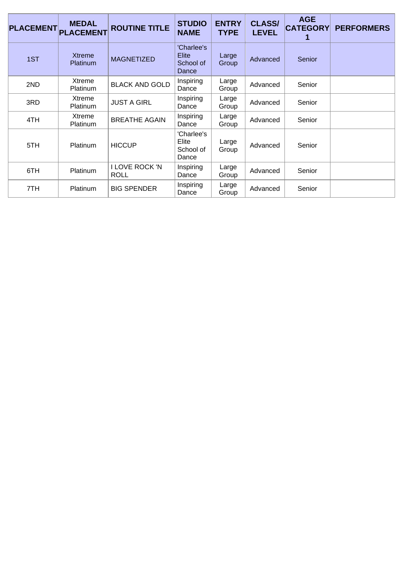| <b>PLACEMENT</b> | <b>MEDAL</b><br><b>PLACEMENT</b> | <b>ROUTINE TITLE</b>                 | <b>STUDIO</b><br><b>NAME</b>                     | <b>ENTRY</b><br><b>TYPE</b> | <b>CLASS/</b><br><b>LEVEL</b> | <b>AGE</b><br><b>CATEGORY</b><br>1 | <b>PERFORMERS</b> |
|------------------|----------------------------------|--------------------------------------|--------------------------------------------------|-----------------------------|-------------------------------|------------------------------------|-------------------|
| 1ST              | <b>Xtreme</b><br><b>Platinum</b> | <b>MAGNETIZED</b>                    | 'Charlee's<br><b>Elite</b><br>School of<br>Dance | Large<br>Group              | Advanced                      | Senior                             |                   |
| 2ND              | Xtreme<br><b>Platinum</b>        | <b>BLACK AND GOLD</b>                | Inspiring<br>Dance                               | Large<br>Group              | Advanced                      | Senior                             |                   |
| 3RD              | Xtreme<br><b>Platinum</b>        | <b>JUST A GIRL</b>                   | Inspiring<br>Dance                               | Large<br>Group              | Advanced                      | Senior                             |                   |
| 4TH              | Xtreme<br><b>Platinum</b>        | <b>BREATHE AGAIN</b>                 | Inspiring<br>Dance                               | Large<br>Group              | Advanced                      | Senior                             |                   |
| 5TH              | <b>Platinum</b>                  | <b>HICCUP</b>                        | 'Charlee's<br>Elite<br>School of<br>Dance        | Large<br>Group              | Advanced                      | Senior                             |                   |
| 6TH              | Platinum                         | <b>I LOVE ROCK 'N</b><br><b>ROLL</b> | Inspiring<br>Dance                               | Large<br>Group              | Advanced                      | Senior                             |                   |
| 7TH              | <b>Platinum</b>                  | <b>BIG SPENDER</b>                   | Inspiring<br>Dance                               | Large<br>Group              | Advanced                      | Senior                             |                   |